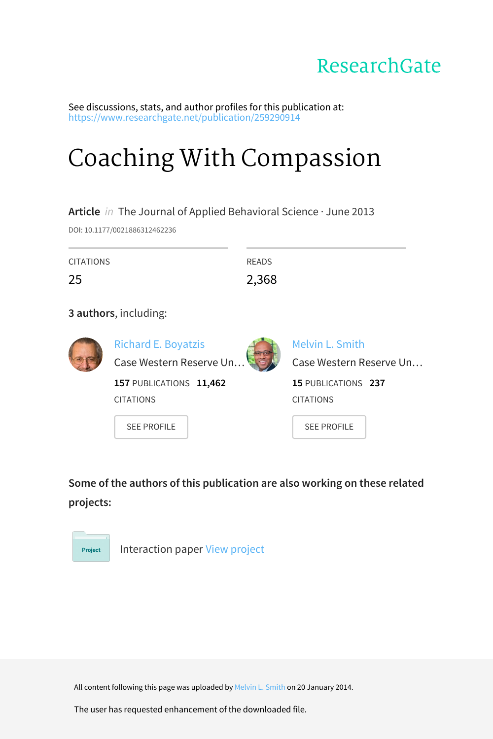# ResearchGate

See discussions, stats, and author profiles for this publication at: [https://www.researchgate.net/publication/259290914](https://www.researchgate.net/publication/259290914_Coaching_With_Compassion?enrichId=rgreq-834125dfb8ecd028957b7866192e19dd-XXX&enrichSource=Y292ZXJQYWdlOzI1OTI5MDkxNDtBUzoxMDE4NDYzMjQ2MTMxMzlAMTQwMTI5MzQ2NDg0MA%3D%3D&el=1_x_2&_esc=publicationCoverPdf)

# Coaching With [Compassion](https://www.researchgate.net/publication/259290914_Coaching_With_Compassion?enrichId=rgreq-834125dfb8ecd028957b7866192e19dd-XXX&enrichSource=Y292ZXJQYWdlOzI1OTI5MDkxNDtBUzoxMDE4NDYzMjQ2MTMxMzlAMTQwMTI5MzQ2NDg0MA%3D%3D&el=1_x_3&_esc=publicationCoverPdf)

#### **Article** in The Journal of Applied Behavioral Science · June 2013

DOI: 10.1177/0021886312462236

| <b>CITATIONS</b><br>25 |                                                | <b>READS</b><br>2,368 |                                            |
|------------------------|------------------------------------------------|-----------------------|--------------------------------------------|
| 3 authors, including:  |                                                |                       |                                            |
|                        | Richard E. Boyatzis<br>Case Western Reserve Un |                       | Melvin L. Smith<br>Case Western Reserve Un |
|                        | 157 PUBLICATIONS 11,462<br><b>CITATIONS</b>    |                       | 15 PUBLICATIONS 237<br><b>CITATIONS</b>    |
|                        | <b>SEE PROFILE</b>                             |                       | <b>SEE PROFILE</b>                         |

**Some of the authors of this publication are also working on these related projects:**



Interaction paper View [project](https://www.researchgate.net/project/Interaction-paper?enrichId=rgreq-834125dfb8ecd028957b7866192e19dd-XXX&enrichSource=Y292ZXJQYWdlOzI1OTI5MDkxNDtBUzoxMDE4NDYzMjQ2MTMxMzlAMTQwMTI5MzQ2NDg0MA%3D%3D&el=1_x_9&_esc=publicationCoverPdf)

All content following this page was uploaded by [Melvin](https://www.researchgate.net/profile/Melvin_Smith?enrichId=rgreq-834125dfb8ecd028957b7866192e19dd-XXX&enrichSource=Y292ZXJQYWdlOzI1OTI5MDkxNDtBUzoxMDE4NDYzMjQ2MTMxMzlAMTQwMTI5MzQ2NDg0MA%3D%3D&el=1_x_10&_esc=publicationCoverPdf) L. Smith on 20 January 2014.

The user has requested enhancement of the downloaded file.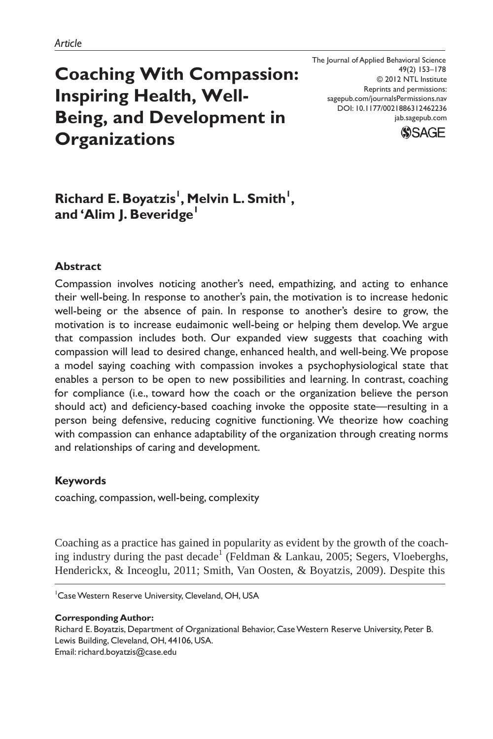# **Coaching With Compassion: Inspiring Health, Well-Being, and Development in Organizations**

The Journal of Applied Behavioral Science 49(2) 153–178 © 2012 NTL Institute Reprints and permissions: sagepub.com/journalsPermissions.nav DOI: 10.1177/0021886312462236 jab.sagepub.com



# **Richard E. Boyatzis<sup>1</sup> , Melvin L. Smith1 , and 'Alim J. Beveridge<sup>1</sup>**

#### **Abstract**

Compassion involves noticing another's need, empathizing, and acting to enhance their well-being. In response to another's pain, the motivation is to increase hedonic well-being or the absence of pain. In response to another's desire to grow, the motivation is to increase eudaimonic well-being or helping them develop.We argue that compassion includes both. Our expanded view suggests that coaching with compassion will lead to desired change, enhanced health, and well-being.We propose a model saying coaching with compassion invokes a psychophysiological state that enables a person to be open to new possibilities and learning. In contrast, coaching for compliance (i.e., toward how the coach or the organization believe the person should act) and deficiency-based coaching invoke the opposite state—resulting in a person being defensive, reducing cognitive functioning. We theorize how coaching with compassion can enhance adaptability of the organization through creating norms and relationships of caring and development.

#### **Keywords**

coaching, compassion, well-being, complexity

Coaching as a practice has gained in popularity as evident by the growth of the coaching industry during the past decade<sup>1</sup> (Feldman & Lankau, 2005; Segers, Vloeberghs, Henderickx, & Inceoglu, 2011; Smith, Van Oosten, & Boyatzis, 2009). Despite this

<sup>1</sup> Case Western Reserve University, Cleveland, OH, USA

**Corresponding Author:** Richard E. Boyatzis, Department of Organizational Behavior, CaseWestern Reserve University, Peter B. Lewis Building, Cleveland, OH, 44106, USA. Email: richard.boyatzis@case.edu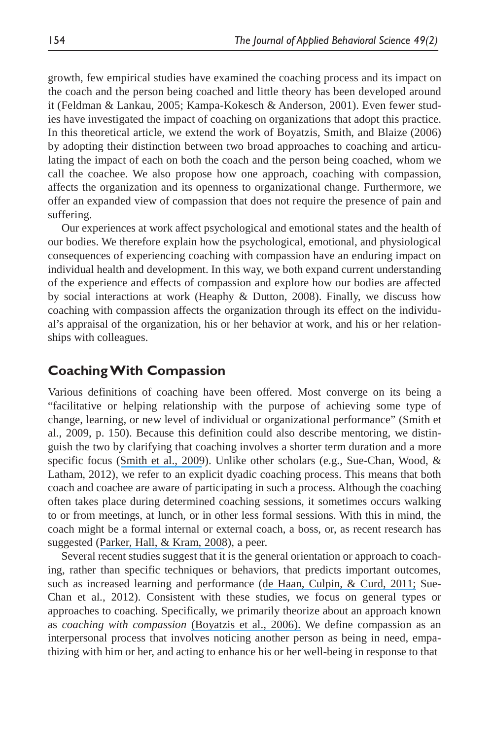growth, few empirical studies have examined the coaching process and its impact on the coach and the person being coached and little theory has been developed around it (Feldman & Lankau, 2005; Kampa-Kokesch & Anderson, 2001). Even fewer studies have investigated the impact of coaching on organizations that adopt this practice. In this theoretical article, we extend the work of Boyatzis, Smith, and Blaize (2006) by adopting their distinction between two broad approaches to coaching and articulating the impact of each on both the coach and the person being coached, whom we call the coachee. We also propose how one approach, coaching with compassion, affects the organization and its openness to organizational change. Furthermore, we offer an expanded view of compassion that does not require the presence of pain and suffering.

Our experiences at work affect psychological and emotional states and the health of our bodies. We therefore explain how the psychological, emotional, and physiological consequences of experiencing coaching with compassion have an enduring impact on individual health and development. In this way, we both expand current understanding of the experience and effects of compassion and explore how our bodies are affected by social interactions at work (Heaphy & Dutton, 2008). Finally, we discuss how coaching with compassion affects the organization through its effect on the individual's appraisal of the organization, his or her behavior at work, and his or her relationships with colleagues.

# **CoachingWith Compassion**

Various definitions of coaching have been offered. Most converge on its being a "facilitative or helping relationship with the purpose of achieving some type of change, learning, or new level of individual or organizational performance" (Smith et al., 2009, p. 150). Because this definition could also describe mentoring, we distinguish the two by clarifying that coaching involves a shorter term duration and a more specific focus ([Smith](https://www.researchgate.net/publication/235282954_Coaching_for_sustained_desired_change?el=1_x_8&enrichId=rgreq-834125dfb8ecd028957b7866192e19dd-XXX&enrichSource=Y292ZXJQYWdlOzI1OTI5MDkxNDtBUzoxMDE4NDYzMjQ2MTMxMzlAMTQwMTI5MzQ2NDg0MA==) et al., 2009). Unlike other scholars (e.g., Sue-Chan, Wood, & Latham, 2012), we refer to an explicit dyadic coaching process. This means that both coach and coachee are aware of participating in such a process. Although the coaching often takes place during determined coaching sessions, it sometimes occurs walking to or from meetings, at lunch, or in other less formal sessions. With this in mind, the coach might be a formal internal or external coach, a boss, or, as recent research has suggested ([Parker,](https://www.researchgate.net/publication/43498540_Peer_Coaching_A_Relational_Process_for_Accelerating_Career_Learning?el=1_x_8&enrichId=rgreq-834125dfb8ecd028957b7866192e19dd-XXX&enrichSource=Y292ZXJQYWdlOzI1OTI5MDkxNDtBUzoxMDE4NDYzMjQ2MTMxMzlAMTQwMTI5MzQ2NDg0MA==) Hall, & Kram, 2008), a peer.

Several recent studies suggest that it is the general orientation or approach to coaching, rather than specific techniques or behaviors, that predicts important outcomes, such as increased learning and performance ([de Haan, Culpin, & Curd, 2011;](https://www.researchgate.net/publication/242342653_Executive_coaching_in_practice_What_determines_helpfulness_for_clients_of_coaching?el=1_x_8&enrichId=rgreq-834125dfb8ecd028957b7866192e19dd-XXX&enrichSource=Y292ZXJQYWdlOzI1OTI5MDkxNDtBUzoxMDE4NDYzMjQ2MTMxMzlAMTQwMTI5MzQ2NDg0MA==) Sue-Chan et al., 2012). Consistent with these studies, we focus on general types or approaches to coaching. Specifically, we primarily theorize about an approach known as *coaching with compassion* [\(Boyatzis](https://www.researchgate.net/publication/242203714_The_ideal_self_as_the_driver_of_intentional_change?el=1_x_8&enrichId=rgreq-834125dfb8ecd028957b7866192e19dd-XXX&enrichSource=Y292ZXJQYWdlOzI1OTI5MDkxNDtBUzoxMDE4NDYzMjQ2MTMxMzlAMTQwMTI5MzQ2NDg0MA==) et al., 2006). We define compassion as an interpersonal process that involves noticing another person as being in need, empathizing with him or her, and acting to enhance his or her well-being in response to that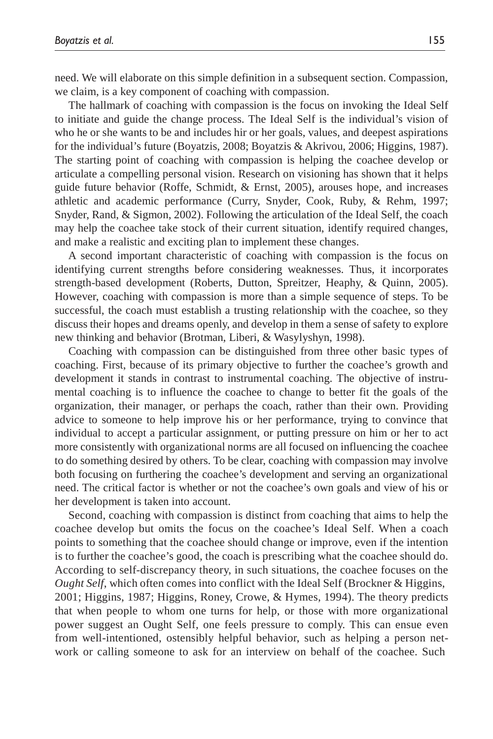need. We will elaborate on this simple definition in a subsequent section. Compassion, we claim, is a key component of coaching with compassion.

The hallmark of coaching with compassion is the focus on invoking the Ideal Self to initiate and guide the change process. The Ideal Self is the individual's vision of who he or she wants to be and includes hir or her goals, values, and deepest aspirations for the individual's future (Boyatzis, 2008; Boyatzis & Akrivou, 2006; Higgins, 1987). The starting point of coaching with compassion is helping the coachee develop or articulate a compelling personal vision. Research on visioning has shown that it helps guide future behavior (Roffe, Schmidt, & Ernst, 2005), arouses hope, and increases athletic and academic performance (Curry, Snyder, Cook, Ruby, & Rehm, 1997; Snyder, Rand, & Sigmon, 2002). Following the articulation of the Ideal Self, the coach may help the coachee take stock of their current situation, identify required changes, and make a realistic and exciting plan to implement these changes.

A second important characteristic of coaching with compassion is the focus on identifying current strengths before considering weaknesses. Thus, it incorporates strength-based development (Roberts, Dutton, Spreitzer, Heaphy, & Quinn, 2005). However, coaching with compassion is more than a simple sequence of steps. To be successful, the coach must establish a trusting relationship with the coachee, so they discuss their hopes and dreams openly, and develop in them a sense of safety to explore new thinking and behavior (Brotman, Liberi, & Wasylyshyn, 1998).

Coaching with compassion can be distinguished from three other basic types of coaching. First, because of its primary objective to further the coachee's growth and development it stands in contrast to instrumental coaching. The objective of instrumental coaching is to influence the coachee to change to better fit the goals of the organization, their manager, or perhaps the coach, rather than their own. Providing advice to someone to help improve his or her performance, trying to convince that individual to accept a particular assignment, or putting pressure on him or her to act more consistently with organizational norms are all focused on influencing the coachee to do something desired by others. To be clear, coaching with compassion may involve both focusing on furthering the coachee's development and serving an organizational need. The critical factor is whether or not the coachee's own goals and view of his or her development is taken into account.

Second, coaching with compassion is distinct from coaching that aims to help the coachee develop but omits the focus on the coachee's Ideal Self. When a coach points to something that the coachee should change or improve, even if the intention is to further the coachee's good, the coach is prescribing what the coachee should do. According to self-discrepancy theory, in such situations, the coachee focuses on the *Ought Self*, which often comes into conflict with the Ideal Self (Brockner & Higgins, 2001; Higgins, 1987; Higgins, Roney, Crowe, & Hymes, 1994). The theory predicts that when people to whom one turns for help, or those with more organizational power suggest an Ought Self, one feels pressure to comply. This can ensue even from well-intentioned, ostensibly helpful behavior, such as helping a person network or calling someone to ask for an interview on behalf of the coachee. Such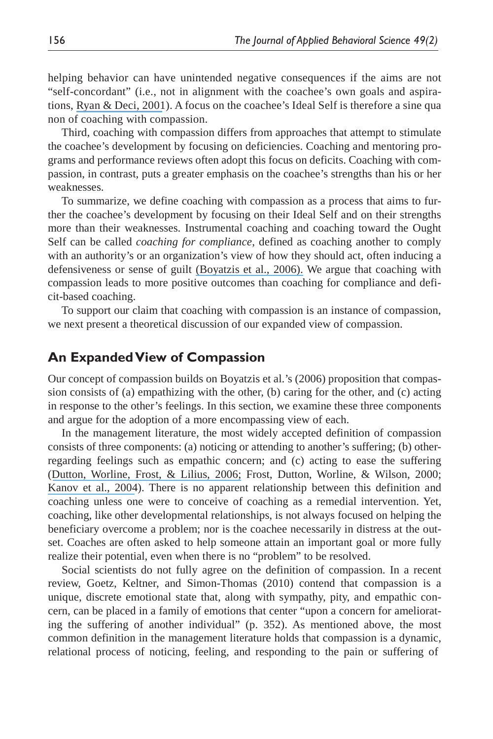helping behavior can have unintended negative consequences if the aims are not "self-concordant" (i.e., not in alignment with the coachee's own goals and aspirations, Ryan & [Deci,](https://www.researchgate.net/publication/12181660_On_Happiness_and_Human_Potentials_A_Review_of_Research_on_Hedonic_and_Eudaimonic_Well-Being?el=1_x_8&enrichId=rgreq-834125dfb8ecd028957b7866192e19dd-XXX&enrichSource=Y292ZXJQYWdlOzI1OTI5MDkxNDtBUzoxMDE4NDYzMjQ2MTMxMzlAMTQwMTI5MzQ2NDg0MA==) 2001). A focus on the coachee's Ideal Self is therefore a sine qua non of coaching with compassion.

Third, coaching with compassion differs from approaches that attempt to stimulate the coachee's development by focusing on deficiencies. Coaching and mentoring programs and performance reviews often adopt this focus on deficits. Coaching with compassion, in contrast, puts a greater emphasis on the coachee's strengths than his or her weaknesses.

To summarize, we define coaching with compassion as a process that aims to further the coachee's development by focusing on their Ideal Self and on their strengths more than their weaknesses. Instrumental coaching and coaching toward the Ought Self can be called *coaching for compliance*, defined as coaching another to comply with an authority's or an organization's view of how they should act, often inducing a defensiveness or sense of guilt [\(Boyatzis](https://www.researchgate.net/publication/242203714_The_ideal_self_as_the_driver_of_intentional_change?el=1_x_8&enrichId=rgreq-834125dfb8ecd028957b7866192e19dd-XXX&enrichSource=Y292ZXJQYWdlOzI1OTI5MDkxNDtBUzoxMDE4NDYzMjQ2MTMxMzlAMTQwMTI5MzQ2NDg0MA==) et al., 2006). We argue that coaching with compassion leads to more positive outcomes than coaching for compliance and deficit-based coaching.

To support our claim that coaching with compassion is an instance of compassion, we next present a theoretical discussion of our expanded view of compassion.

#### **An ExpandedView of Compassion**

Our concept of compassion builds on Boyatzis et al.'s (2006) proposition that compassion consists of (a) empathizing with the other, (b) caring for the other, and (c) acting in response to the other's feelings. In this section, we examine these three components and argue for the adoption of a more encompassing view of each.

In the management literature, the most widely accepted definition of compassion consists of three components: (a) noticing or attending to another's suffering; (b) otherregarding feelings such as empathic concern; and (c) acting to ease the suffering ([Dutton, Worline,](https://www.researchgate.net/publication/241644034_Explaining_Compassion_Organizing?el=1_x_8&enrichId=rgreq-834125dfb8ecd028957b7866192e19dd-XXX&enrichSource=Y292ZXJQYWdlOzI1OTI5MDkxNDtBUzoxMDE4NDYzMjQ2MTMxMzlAMTQwMTI5MzQ2NDg0MA==) Frost, & Lilius, 2006; Frost, Dutton, Worline, & Wilson, 2000; [Kanov](https://www.researchgate.net/publication/242573666_Compassion_in_Organizational_Life?el=1_x_8&enrichId=rgreq-834125dfb8ecd028957b7866192e19dd-XXX&enrichSource=Y292ZXJQYWdlOzI1OTI5MDkxNDtBUzoxMDE4NDYzMjQ2MTMxMzlAMTQwMTI5MzQ2NDg0MA==) et al., 2004). There is no apparent relationship between this definition and coaching unless one were to conceive of coaching as a remedial intervention. Yet, coaching, like other developmental relationships, is not always focused on helping the beneficiary overcome a problem; nor is the coachee necessarily in distress at the outset. Coaches are often asked to help someone attain an important goal or more fully realize their potential, even when there is no "problem" to be resolved.

Social scientists do not fully agree on the definition of compassion. In a recent review, Goetz, Keltner, and Simon-Thomas (2010) contend that compassion is a unique, discrete emotional state that, along with sympathy, pity, and empathic concern, can be placed in a family of emotions that center "upon a concern for ameliorating the suffering of another individual" (p. 352). As mentioned above, the most common definition in the management literature holds that compassion is a dynamic, relational process of noticing, feeling, and responding to the pain or suffering of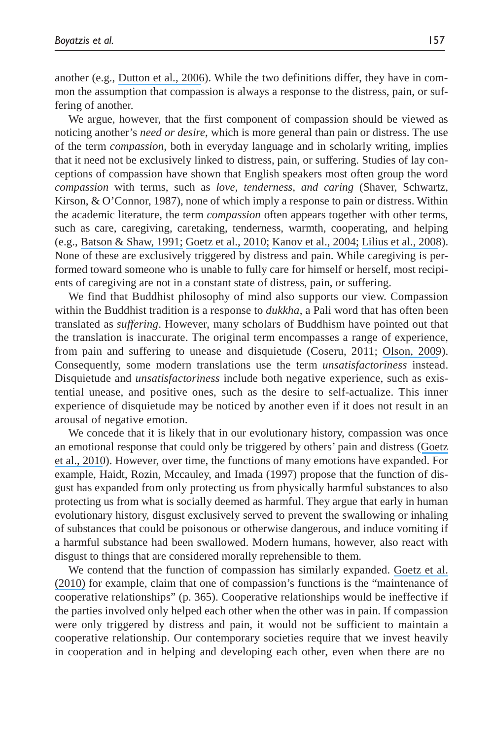another (e.g., [Dutton](https://www.researchgate.net/publication/241644034_Explaining_Compassion_Organizing?el=1_x_8&enrichId=rgreq-834125dfb8ecd028957b7866192e19dd-XXX&enrichSource=Y292ZXJQYWdlOzI1OTI5MDkxNDtBUzoxMDE4NDYzMjQ2MTMxMzlAMTQwMTI5MzQ2NDg0MA==) et al., 2006). While the two definitions differ, they have in common the assumption that compassion is always a response to the distress, pain, or suffering of another.

We argue, however, that the first component of compassion should be viewed as noticing another's *need or desire*, which is more general than pain or distress. The use of the term *compassion*, both in everyday language and in scholarly writing, implies that it need not be exclusively linked to distress, pain, or suffering. Studies of lay conceptions of compassion have shown that English speakers most often group the word *compassion* with terms, such as *love, tenderness, and caring* (Shaver, Schwartz, Kirson, & O'Connor, 1987), none of which imply a response to pain or distress. Within the academic literature, the term *compassion* often appears together with other terms, such as care, caregiving, caretaking, tenderness, warmth, cooperating, and helping (e.g., [Batson](https://www.researchgate.net/publication/233159358_Evidence_for_Altruism_Toward_a_Pluralism_of_Prosocial_Motives?el=1_x_8&enrichId=rgreq-834125dfb8ecd028957b7866192e19dd-XXX&enrichSource=Y292ZXJQYWdlOzI1OTI5MDkxNDtBUzoxMDE4NDYzMjQ2MTMxMzlAMTQwMTI5MzQ2NDg0MA==) & Shaw, 1991; [Goetz](https://www.researchgate.net/publication/44569135_Compassion_An_Evolutionary_Analysis_and_Empirical_Review?el=1_x_8&enrichId=rgreq-834125dfb8ecd028957b7866192e19dd-XXX&enrichSource=Y292ZXJQYWdlOzI1OTI5MDkxNDtBUzoxMDE4NDYzMjQ2MTMxMzlAMTQwMTI5MzQ2NDg0MA==) et al., 2010; [Kanov](https://www.researchgate.net/publication/242573666_Compassion_in_Organizational_Life?el=1_x_8&enrichId=rgreq-834125dfb8ecd028957b7866192e19dd-XXX&enrichSource=Y292ZXJQYWdlOzI1OTI5MDkxNDtBUzoxMDE4NDYzMjQ2MTMxMzlAMTQwMTI5MzQ2NDg0MA==) et al., 2004; [Lilius](https://www.researchgate.net/publication/30858626_The_Contours_and_Consequences_of_Compassion_at_Work?el=1_x_8&enrichId=rgreq-834125dfb8ecd028957b7866192e19dd-XXX&enrichSource=Y292ZXJQYWdlOzI1OTI5MDkxNDtBUzoxMDE4NDYzMjQ2MTMxMzlAMTQwMTI5MzQ2NDg0MA==) et al., 2008). None of these are exclusively triggered by distress and pain. While caregiving is performed toward someone who is unable to fully care for himself or herself, most recipients of caregiving are not in a constant state of distress, pain, or suffering.

We find that Buddhist philosophy of mind also supports our view. Compassion within the Buddhist tradition is a response to *dukkha*, a Pali word that has often been translated as *suffering*. However, many scholars of Buddhism have pointed out that the translation is inaccurate. The original term encompasses a range of experience, from pain and suffering to unease and disquietude (Coseru, 2011; [Olson, 2009](https://www.researchgate.net/publication/284439419_Historical_Dictionary_of_Buddhism?el=1_x_8&enrichId=rgreq-834125dfb8ecd028957b7866192e19dd-XXX&enrichSource=Y292ZXJQYWdlOzI1OTI5MDkxNDtBUzoxMDE4NDYzMjQ2MTMxMzlAMTQwMTI5MzQ2NDg0MA==)). Consequently, some modern translations use the term *unsatisfactoriness* instead. Disquietude and *unsatisfactoriness* include both negative experience, such as existential unease, and positive ones, such as the desire to self-actualize. This inner experience of disquietude may be noticed by another even if it does not result in an arousal of negative emotion.

We concede that it is likely that in our evolutionary history, compassion was once an emotional response that could only be triggered by others' pain and distress ([Goetz](https://www.researchgate.net/publication/44569135_Compassion_An_Evolutionary_Analysis_and_Empirical_Review?el=1_x_8&enrichId=rgreq-834125dfb8ecd028957b7866192e19dd-XXX&enrichSource=Y292ZXJQYWdlOzI1OTI5MDkxNDtBUzoxMDE4NDYzMjQ2MTMxMzlAMTQwMTI5MzQ2NDg0MA==)  et al., [2010](https://www.researchgate.net/publication/44569135_Compassion_An_Evolutionary_Analysis_and_Empirical_Review?el=1_x_8&enrichId=rgreq-834125dfb8ecd028957b7866192e19dd-XXX&enrichSource=Y292ZXJQYWdlOzI1OTI5MDkxNDtBUzoxMDE4NDYzMjQ2MTMxMzlAMTQwMTI5MzQ2NDg0MA==)). However, over time, the functions of many emotions have expanded. For example, Haidt, Rozin, Mccauley, and Imada (1997) propose that the function of disgust has expanded from only protecting us from physically harmful substances to also protecting us from what is socially deemed as harmful. They argue that early in human evolutionary history, disgust exclusively served to prevent the swallowing or inhaling of substances that could be poisonous or otherwise dangerous, and induce vomiting if a harmful substance had been swallowed. Modern humans, however, also react with disgust to things that are considered morally reprehensible to them.

We contend that the function of compassion has similarly expanded. [Goetz et al.](https://www.researchgate.net/publication/44569135_Compassion_An_Evolutionary_Analysis_and_Empirical_Review?el=1_x_8&enrichId=rgreq-834125dfb8ecd028957b7866192e19dd-XXX&enrichSource=Y292ZXJQYWdlOzI1OTI5MDkxNDtBUzoxMDE4NDYzMjQ2MTMxMzlAMTQwMTI5MzQ2NDg0MA==)  [\(2010\)](https://www.researchgate.net/publication/44569135_Compassion_An_Evolutionary_Analysis_and_Empirical_Review?el=1_x_8&enrichId=rgreq-834125dfb8ecd028957b7866192e19dd-XXX&enrichSource=Y292ZXJQYWdlOzI1OTI5MDkxNDtBUzoxMDE4NDYzMjQ2MTMxMzlAMTQwMTI5MzQ2NDg0MA==) for example, claim that one of compassion's functions is the "maintenance of cooperative relationships" (p. 365). Cooperative relationships would be ineffective if the parties involved only helped each other when the other was in pain. If compassion were only triggered by distress and pain, it would not be sufficient to maintain a cooperative relationship. Our contemporary societies require that we invest heavily in cooperation and in helping and developing each other, even when there are no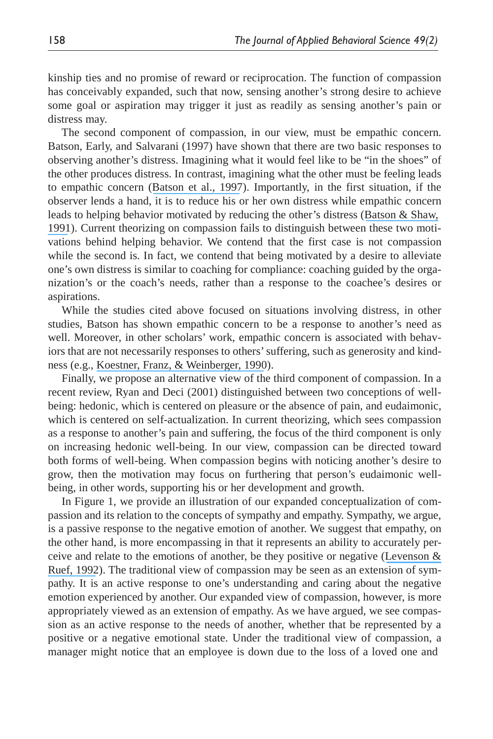kinship ties and no promise of reward or reciprocation. The function of compassion has conceivably expanded, such that now, sensing another's strong desire to achieve some goal or aspiration may trigger it just as readily as sensing another's pain or distress may.

The second component of compassion, in our view, must be empathic concern. Batson, Early, and Salvarani (1997) have shown that there are two basic responses to observing another's distress. Imagining what it would feel like to be "in the shoes" of the other produces distress. In contrast, imagining what the other must be feeling leads to empathic concern ([Batson et al., 1997](https://www.researchgate.net/publication/247746451_Perspective_Taking_Imagining_How_Another_Feels_Versus_Imaging_How_You_Would_Feel?el=1_x_8&enrichId=rgreq-834125dfb8ecd028957b7866192e19dd-XXX&enrichSource=Y292ZXJQYWdlOzI1OTI5MDkxNDtBUzoxMDE4NDYzMjQ2MTMxMzlAMTQwMTI5MzQ2NDg0MA==)). Importantly, in the first situation, if the observer lends a hand, it is to reduce his or her own distress while empathic concern leads to helping behavior motivated by reducing the other's distress ([Batson](https://www.researchgate.net/publication/233159358_Evidence_for_Altruism_Toward_a_Pluralism_of_Prosocial_Motives?el=1_x_8&enrichId=rgreq-834125dfb8ecd028957b7866192e19dd-XXX&enrichSource=Y292ZXJQYWdlOzI1OTI5MDkxNDtBUzoxMDE4NDYzMjQ2MTMxMzlAMTQwMTI5MzQ2NDg0MA==) & Shaw, [1991](https://www.researchgate.net/publication/233159358_Evidence_for_Altruism_Toward_a_Pluralism_of_Prosocial_Motives?el=1_x_8&enrichId=rgreq-834125dfb8ecd028957b7866192e19dd-XXX&enrichSource=Y292ZXJQYWdlOzI1OTI5MDkxNDtBUzoxMDE4NDYzMjQ2MTMxMzlAMTQwMTI5MzQ2NDg0MA==)). Current theorizing on compassion fails to distinguish between these two motivations behind helping behavior. We contend that the first case is not compassion while the second is. In fact, we contend that being motivated by a desire to alleviate one's own distress is similar to coaching for compliance: coaching guided by the organization's or the coach's needs, rather than a response to the coachee's desires or aspirations.

While the studies cited above focused on situations involving distress, in other studies, Batson has shown empathic concern to be a response to another's need as well. Moreover, in other scholars' work, empathic concern is associated with behaviors that are not necessarily responses to others'suffering, such as generosity and kindness (e.g., [Koestner, Franz, &](https://www.researchgate.net/publication/20808454_The_Family_Origins_of_Empathic_Concern_A_26-Year_Longitudinal_Study?el=1_x_8&enrichId=rgreq-834125dfb8ecd028957b7866192e19dd-XXX&enrichSource=Y292ZXJQYWdlOzI1OTI5MDkxNDtBUzoxMDE4NDYzMjQ2MTMxMzlAMTQwMTI5MzQ2NDg0MA==) Weinberger, 1990).

Finally, we propose an alternative view of the third component of compassion. In a recent review, Ryan and Deci (2001) distinguished between two conceptions of wellbeing: hedonic, which is centered on pleasure or the absence of pain, and eudaimonic, which is centered on self-actualization. In current theorizing, which sees compassion as a response to another's pain and suffering, the focus of the third component is only on increasing hedonic well-being. In our view, compassion can be directed toward both forms of well-being. When compassion begins with noticing another's desire to grow, then the motivation may focus on furthering that person's eudaimonic wellbeing, in other words, supporting his or her development and growth.

In Figure 1, we provide an illustration of our expanded conceptualization of compassion and its relation to the concepts of sympathy and empathy. Sympathy, we argue, is a passive response to the negative emotion of another. We suggest that empathy, on the other hand, is more encompassing in that it represents an ability to accurately perceive and relate to the emotions of another, be they positive or negative (Levenson  $\&$ [Ruef,](https://www.researchgate.net/publication/21751329_Empathy_A_Physiological_Substrate?el=1_x_8&enrichId=rgreq-834125dfb8ecd028957b7866192e19dd-XXX&enrichSource=Y292ZXJQYWdlOzI1OTI5MDkxNDtBUzoxMDE4NDYzMjQ2MTMxMzlAMTQwMTI5MzQ2NDg0MA==) 1992). The traditional view of compassion may be seen as an extension of sympathy. It is an active response to one's understanding and caring about the negative emotion experienced by another. Our expanded view of compassion, however, is more appropriately viewed as an extension of empathy. As we have argued, we see compassion as an active response to the needs of another, whether that be represented by a positive or a negative emotional state. Under the traditional view of compassion, a manager might notice that an employee is down due to the loss of a loved one and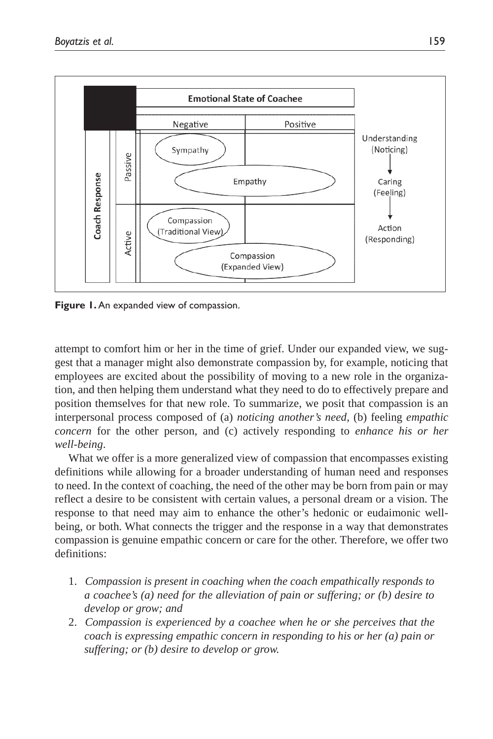

**Figure 1.** An expanded view of compassion.

attempt to comfort him or her in the time of grief. Under our expanded view, we suggest that a manager might also demonstrate compassion by, for example, noticing that employees are excited about the possibility of moving to a new role in the organization, and then helping them understand what they need to do to effectively prepare and position themselves for that new role. To summarize, we posit that compassion is an interpersonal process composed of (a) *noticing another's need*, (b) feeling *empathic concern* for the other person, and (c) actively responding to *enhance his or her well-being*.

What we offer is a more generalized view of compassion that encompasses existing definitions while allowing for a broader understanding of human need and responses to need. In the context of coaching, the need of the other may be born from pain or may reflect a desire to be consistent with certain values, a personal dream or a vision. The response to that need may aim to enhance the other's hedonic or eudaimonic wellbeing, or both. What connects the trigger and the response in a way that demonstrates compassion is genuine empathic concern or care for the other. Therefore, we offer two definitions:

- 1. *Compassion is present in coaching when the coach empathically responds to a coachee's (a) need for the alleviation of pain or suffering; or (b) desire to develop or grow; and*
- 2. *Compassion is experienced by a coachee when he or she perceives that the coach is expressing empathic concern in responding to his or her (a) pain or suffering; or (b) desire to develop or grow.*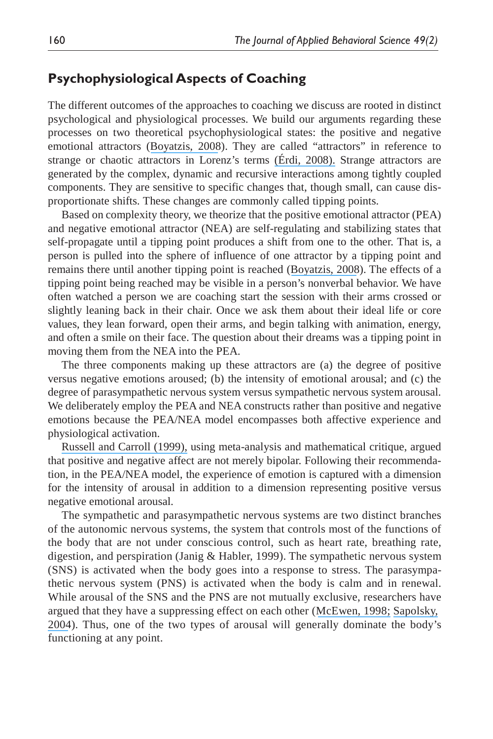#### **Psychophysiological Aspects of Coaching**

The different outcomes of the approaches to coaching we discuss are rooted in distinct psychological and physiological processes. We build our arguments regarding these processes on two theoretical psychophysiological states: the positive and negative emotional attractors ([Boyatzis,](https://www.researchgate.net/publication/232533537_Leadership_Development_from_a_Complexity_Perspective?el=1_x_8&enrichId=rgreq-834125dfb8ecd028957b7866192e19dd-XXX&enrichSource=Y292ZXJQYWdlOzI1OTI5MDkxNDtBUzoxMDE4NDYzMjQ2MTMxMzlAMTQwMTI5MzQ2NDg0MA==) 2008). They are called "attractors" in reference to strange or chaotic attractors in Lorenz's terms [\(Érdi, 2008\).](https://www.researchgate.net/publication/228108296_Complexity_Explained?el=1_x_8&enrichId=rgreq-834125dfb8ecd028957b7866192e19dd-XXX&enrichSource=Y292ZXJQYWdlOzI1OTI5MDkxNDtBUzoxMDE4NDYzMjQ2MTMxMzlAMTQwMTI5MzQ2NDg0MA==) Strange attractors are generated by the complex, dynamic and recursive interactions among tightly coupled components. They are sensitive to specific changes that, though small, can cause disproportionate shifts. These changes are commonly called tipping points.

Based on complexity theory, we theorize that the positive emotional attractor (PEA) and negative emotional attractor (NEA) are self-regulating and stabilizing states that self-propagate until a tipping point produces a shift from one to the other. That is, a person is pulled into the sphere of influence of one attractor by a tipping point and remains there until another tipping point is reached ([Boyatzis,](https://www.researchgate.net/publication/232533537_Leadership_Development_from_a_Complexity_Perspective?el=1_x_8&enrichId=rgreq-834125dfb8ecd028957b7866192e19dd-XXX&enrichSource=Y292ZXJQYWdlOzI1OTI5MDkxNDtBUzoxMDE4NDYzMjQ2MTMxMzlAMTQwMTI5MzQ2NDg0MA==) 2008). The effects of a tipping point being reached may be visible in a person's nonverbal behavior. We have often watched a person we are coaching start the session with their arms crossed or slightly leaning back in their chair. Once we ask them about their ideal life or core values, they lean forward, open their arms, and begin talking with animation, energy, and often a smile on their face. The question about their dreams was a tipping point in moving them from the NEA into the PEA.

The three components making up these attractors are (a) the degree of positive versus negative emotions aroused; (b) the intensity of emotional arousal; and (c) the degree of parasympathetic nervous system versus sympathetic nervous system arousal. We deliberately employ the PEA and NEA constructs rather than positive and negative emotions because the PEA/NEA model encompasses both affective experience and physiological activation.

[Russell and Carroll \(1999\),](https://www.researchgate.net/publication/13298313_On_the_Bipolarity_of_Positive_and_Negative_Affect?el=1_x_8&enrichId=rgreq-834125dfb8ecd028957b7866192e19dd-XXX&enrichSource=Y292ZXJQYWdlOzI1OTI5MDkxNDtBUzoxMDE4NDYzMjQ2MTMxMzlAMTQwMTI5MzQ2NDg0MA==) using meta-analysis and mathematical critique, argued that positive and negative affect are not merely bipolar. Following their recommendation, in the PEA/NEA model, the experience of emotion is captured with a dimension for the intensity of arousal in addition to a dimension representing positive versus negative emotional arousal.

The sympathetic and parasympathetic nervous systems are two distinct branches of the autonomic nervous systems, the system that controls most of the functions of the body that are not under conscious control, such as heart rate, breathing rate, digestion, and perspiration (Janig & Habler, 1999). The sympathetic nervous system (SNS) is activated when the body goes into a response to stress. The parasympathetic nervous system (PNS) is activated when the body is calm and in renewal. While arousal of the SNS and the PNS are not mutually exclusive, researchers have argued that they have a suppressing effect on each other ([McEwen,](https://www.researchgate.net/publication/281317410_Protective_and_Damaging_Effects_of_Stress_Mediators?el=1_x_8&enrichId=rgreq-834125dfb8ecd028957b7866192e19dd-XXX&enrichSource=Y292ZXJQYWdlOzI1OTI5MDkxNDtBUzoxMDE4NDYzMjQ2MTMxMzlAMTQwMTI5MzQ2NDg0MA==) 1998; [Sapolsky,](https://www.researchgate.net/publication/248446302_Why_Zebras_don) [2004](https://www.researchgate.net/publication/248446302_Why_Zebras_don)). Thus, one of the two types of arousal will generally dominate the body's functioning at any point.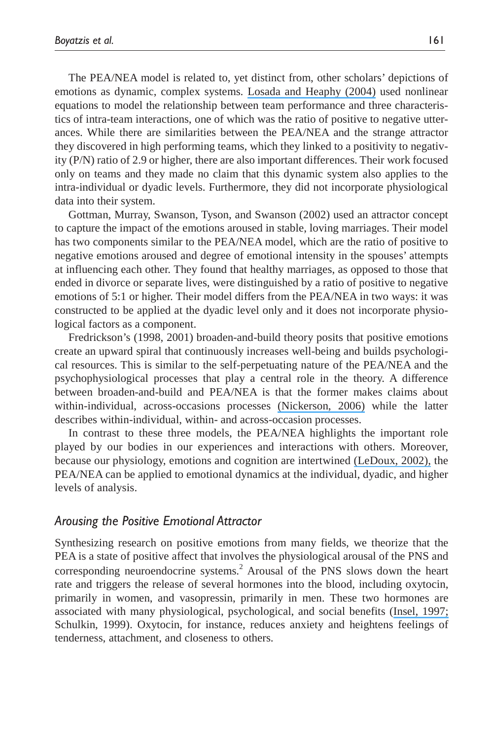The PEA/NEA model is related to, yet distinct from, other scholars' depictions of emotions as dynamic, complex systems. [Losada and Heaphy \(2004\)](https://www.researchgate.net/publication/247752186_The_Role_of_Positivity_and_Connectivity_in_the_Performance_of_Business_TeamsA_Nonlinear_Dynamics_Model?el=1_x_8&enrichId=rgreq-834125dfb8ecd028957b7866192e19dd-XXX&enrichSource=Y292ZXJQYWdlOzI1OTI5MDkxNDtBUzoxMDE4NDYzMjQ2MTMxMzlAMTQwMTI5MzQ2NDg0MA==) used nonlinear equations to model the relationship between team performance and three characteristics of intra-team interactions, one of which was the ratio of positive to negative utterances. While there are similarities between the PEA/NEA and the strange attractor they discovered in high performing teams, which they linked to a positivity to negativity (P/N) ratio of 2.9 or higher, there are also important differences. Their work focused only on teams and they made no claim that this dynamic system also applies to the intra-individual or dyadic levels. Furthermore, they did not incorporate physiological data into their system.

Gottman, Murray, Swanson, Tyson, and Swanson (2002) used an attractor concept to capture the impact of the emotions aroused in stable, loving marriages. Their model has two components similar to the PEA/NEA model, which are the ratio of positive to negative emotions aroused and degree of emotional intensity in the spouses' attempts at influencing each other. They found that healthy marriages, as opposed to those that ended in divorce or separate lives, were distinguished by a ratio of positive to negative emotions of 5:1 or higher. Their model differs from the PEA/NEA in two ways: it was constructed to be applied at the dyadic level only and it does not incorporate physiological factors as a component.

Fredrickson's (1998, 2001) broaden-and-build theory posits that positive emotions create an upward spiral that continuously increases well-being and builds psychological resources. This is similar to the self-perpetuating nature of the PEA/NEA and the psychophysiological processes that play a central role in the theory. A difference between broaden-and-build and PEA/NEA is that the former makes claims about within-individual, across-occasions processes [\(N](https://www.researchgate.net/publication/23545612_TheoryAnalysis_Mismatch_Comment_on_Fredrickson_and_Joiner)[ickerson, 200](https://www.researchgate.net/publication/285936950_Theoryanalysis_mismatch_Comment_on_Fredrickson_and_Joiner)[6\)](https://www.researchgate.net/publication/23545612_TheoryAnalysis_Mismatch_Comment_on_Fredrickson_and_Joiner) while the latter describes within-individual, within- and across-occasion processes.

In contrast to these three models, the PEA/NEA highlights the important role played by our bodies in our experiences and interactions with others. Moreover, because our physiology, emotions and cognition are intertwined [\(LeDoux,](https://www.researchgate.net/publication/25095514_Synaptic_Self_How_Our_Brains_Become_Who_We_Are?el=1_x_8&enrichId=rgreq-834125dfb8ecd028957b7866192e19dd-XXX&enrichSource=Y292ZXJQYWdlOzI1OTI5MDkxNDtBUzoxMDE4NDYzMjQ2MTMxMzlAMTQwMTI5MzQ2NDg0MA==) 2002), the PEA/NEA can be applied to emotional dynamics at the individual, dyadic, and higher levels of analysis.

#### *Arousing the Positive Emotional Attractor*

Synthesizing research on positive emotions from many fields, we theorize that the PEA is a state of positive affect that involves the physiological arousal of the PNS and corresponding neuroendocrine systems.<sup>2</sup> Arousal of the PNS slows down the heart rate and triggers the release of several hormones into the blood, including oxytocin, primarily in women, and vasopressin, primarily in men. These two hormones are associated with many physiological, psychological, and social benefits ([Insel, 1997;](https://www.researchgate.net/publication/14050218_A_Neurobiological_Basis_of_Social_Attachment?el=1_x_8&enrichId=rgreq-834125dfb8ecd028957b7866192e19dd-XXX&enrichSource=Y292ZXJQYWdlOzI1OTI5MDkxNDtBUzoxMDE4NDYzMjQ2MTMxMzlAMTQwMTI5MzQ2NDg0MA==)  Schulkin, 1999). Oxytocin, for instance, reduces anxiety and heightens feelings of tenderness, attachment, and closeness to others.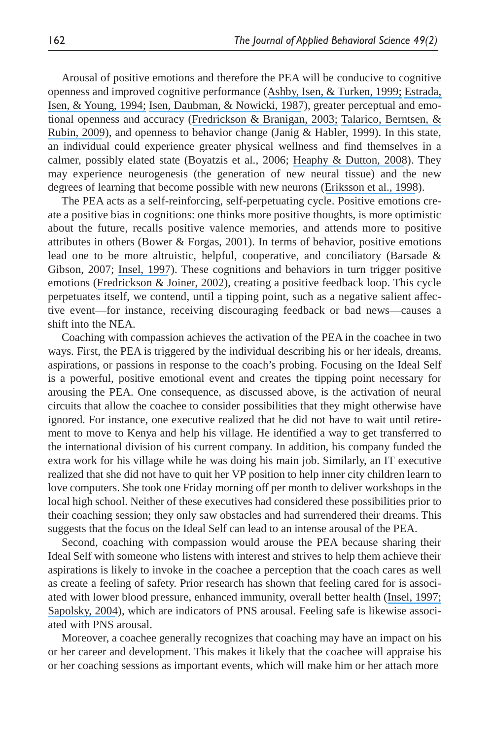Arousal of positive emotions and therefore the PEA will be conducive to cognitive openness and improved cognitive performance (Ashby, Isen, & [Turken,](https://www.researchgate.net/publication/12831914_A_Neuropsychological_Theory_of_Positive_Affect_and_Its_Influence_on_Cognition?el=1_x_8&enrichId=rgreq-834125dfb8ecd028957b7866192e19dd-XXX&enrichSource=Y292ZXJQYWdlOzI1OTI5MDkxNDtBUzoxMDE4NDYzMjQ2MTMxMzlAMTQwMTI5MzQ2NDg0MA==) 1999; [Estrada,](https://www.researchgate.net/publication/227335116_Positive_Affect_Improves_Creative_Problem_Solving_and_Influences_Reported_Source_of_Practice_Satisfaction_in_Physicians?el=1_x_8&enrichId=rgreq-834125dfb8ecd028957b7866192e19dd-XXX&enrichSource=Y292ZXJQYWdlOzI1OTI5MDkxNDtBUzoxMDE4NDYzMjQ2MTMxMzlAMTQwMTI5MzQ2NDg0MA==)  Isen, & [Young,](https://www.researchgate.net/publication/227335116_Positive_Affect_Improves_Creative_Problem_Solving_and_Influences_Reported_Source_of_Practice_Satisfaction_in_Physicians?el=1_x_8&enrichId=rgreq-834125dfb8ecd028957b7866192e19dd-XXX&enrichSource=Y292ZXJQYWdlOzI1OTI5MDkxNDtBUzoxMDE4NDYzMjQ2MTMxMzlAMTQwMTI5MzQ2NDg0MA==) 1994; Isen, [Daubman,](https://www.researchgate.net/publication/19562789_Positive_Affect_Facilitates_Creative_Problem_Solving?el=1_x_8&enrichId=rgreq-834125dfb8ecd028957b7866192e19dd-XXX&enrichSource=Y292ZXJQYWdlOzI1OTI5MDkxNDtBUzoxMDE4NDYzMjQ2MTMxMzlAMTQwMTI5MzQ2NDg0MA==) & Nowicki, 1987), greater perceptual and emotional openness and accuracy ([Fredrickson](https://www.researchgate.net/publication/51582010_Positive_Emotions_Broaden_the_Scope_of_Attention_and_Thought-action_Repertoires?el=1_x_8&enrichId=rgreq-834125dfb8ecd028957b7866192e19dd-XXX&enrichSource=Y292ZXJQYWdlOzI1OTI5MDkxNDtBUzoxMDE4NDYzMjQ2MTMxMzlAMTQwMTI5MzQ2NDg0MA==) & Branigan, 2003; Talarico, [Berntsen,](https://www.researchgate.net/publication/50228183_Positive_emotions_enhance_recall_of_peripheral_details?el=1_x_8&enrichId=rgreq-834125dfb8ecd028957b7866192e19dd-XXX&enrichSource=Y292ZXJQYWdlOzI1OTI5MDkxNDtBUzoxMDE4NDYzMjQ2MTMxMzlAMTQwMTI5MzQ2NDg0MA==) & [Rubin, 2009](https://www.researchgate.net/publication/50228183_Positive_emotions_enhance_recall_of_peripheral_details?el=1_x_8&enrichId=rgreq-834125dfb8ecd028957b7866192e19dd-XXX&enrichSource=Y292ZXJQYWdlOzI1OTI5MDkxNDtBUzoxMDE4NDYzMjQ2MTMxMzlAMTQwMTI5MzQ2NDg0MA==)), and openness to behavior change (Janig & Habler, 1999). In this state, an individual could experience greater physical wellness and find themselves in a calmer, possibly elated state (Boyatzis et al., 2006; [Heaphy](https://www.researchgate.net/publication/278914096_Positive_Social_Interactions_and_the_Human_Body_at_Work_Linking_Organizations_and_Physiology?el=1_x_8&enrichId=rgreq-834125dfb8ecd028957b7866192e19dd-XXX&enrichSource=Y292ZXJQYWdlOzI1OTI5MDkxNDtBUzoxMDE4NDYzMjQ2MTMxMzlAMTQwMTI5MzQ2NDg0MA==) & Dutton, 2008). They may experience neurogenesis (the generation of new neural tissue) and the new degrees of learning that become possible with new neurons ([Eriksson et al., 1998](https://www.researchgate.net/publication/13476119_Neurogenesis_in_the_Adult_Human_Hippocampus?el=1_x_8&enrichId=rgreq-834125dfb8ecd028957b7866192e19dd-XXX&enrichSource=Y292ZXJQYWdlOzI1OTI5MDkxNDtBUzoxMDE4NDYzMjQ2MTMxMzlAMTQwMTI5MzQ2NDg0MA==)).

The PEA acts as a self-reinforcing, self-perpetuating cycle. Positive emotions create a positive bias in cognitions: one thinks more positive thoughts, is more optimistic about the future, recalls positive valence memories, and attends more to positive attributes in others (Bower & Forgas, 2001). In terms of behavior, positive emotions lead one to be more altruistic, helpful, cooperative, and conciliatory (Barsade & Gibson, 2007; [Insel,](https://www.researchgate.net/publication/14050218_A_Neurobiological_Basis_of_Social_Attachment?el=1_x_8&enrichId=rgreq-834125dfb8ecd028957b7866192e19dd-XXX&enrichSource=Y292ZXJQYWdlOzI1OTI5MDkxNDtBUzoxMDE4NDYzMjQ2MTMxMzlAMTQwMTI5MzQ2NDg0MA==) 1997). These cognitions and behaviors in turn trigger positive emotions ([Fredrickson & Joiner, 2002](https://www.researchgate.net/publication/11431735_Positive_Emotions_Trigger_Upward_Spirals_Toward_Emotional_Well-Being?el=1_x_8&enrichId=rgreq-834125dfb8ecd028957b7866192e19dd-XXX&enrichSource=Y292ZXJQYWdlOzI1OTI5MDkxNDtBUzoxMDE4NDYzMjQ2MTMxMzlAMTQwMTI5MzQ2NDg0MA==)), creating a positive feedback loop. This cycle perpetuates itself, we contend, until a tipping point, such as a negative salient affective event—for instance, receiving discouraging feedback or bad news—causes a shift into the NEA.

Coaching with compassion achieves the activation of the PEA in the coachee in two ways. First, the PEA is triggered by the individual describing his or her ideals, dreams, aspirations, or passions in response to the coach's probing. Focusing on the Ideal Self is a powerful, positive emotional event and creates the tipping point necessary for arousing the PEA. One consequence, as discussed above, is the activation of neural circuits that allow the coachee to consider possibilities that they might otherwise have ignored. For instance, one executive realized that he did not have to wait until retirement to move to Kenya and help his village. He identified a way to get transferred to the international division of his current company. In addition, his company funded the extra work for his village while he was doing his main job. Similarly, an IT executive realized that she did not have to quit her VP position to help inner city children learn to love computers. She took one Friday morning off per month to deliver workshops in the local high school. Neither of these executives had considered these possibilities prior to their coaching session; they only saw obstacles and had surrendered their dreams. This suggests that the focus on the Ideal Self can lead to an intense arousal of the PEA.

Second, coaching with compassion would arouse the PEA because sharing their Ideal Self with someone who listens with interest and strives to help them achieve their aspirations is likely to invoke in the coachee a perception that the coach cares as well as create a feeling of safety. Prior research has shown that feeling cared for is associated with lower blood pressure, enhanced immunity, overall better health (Insel, [1997;](https://www.researchgate.net/publication/14050218_A_Neurobiological_Basis_of_Social_Attachment?el=1_x_8&enrichId=rgreq-834125dfb8ecd028957b7866192e19dd-XXX&enrichSource=Y292ZXJQYWdlOzI1OTI5MDkxNDtBUzoxMDE4NDYzMjQ2MTMxMzlAMTQwMTI5MzQ2NDg0MA==)  [Sapolsky,](https://www.researchgate.net/publication/248446302_Why_Zebras_don) 2004), which are indicators of PNS arousal. Feeling safe is likewise associated with PNS arousal.

Moreover, a coachee generally recognizes that coaching may have an impact on his or her career and development. This makes it likely that the coachee will appraise his or her coaching sessions as important events, which will make him or her attach more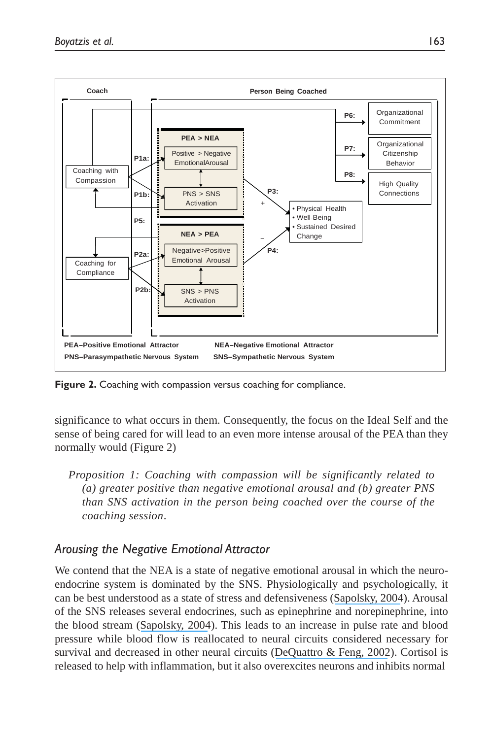

Figure 2. Coaching with compassion versus coaching for compliance.

significance to what occurs in them. Consequently, the focus on the Ideal Self and the sense of being cared for will lead to an even more intense arousal of the PEA than they normally would (Figure 2)

*Proposition 1: Coaching with compassion will be significantly related to (a) greater positive than negative emotional arousal and (b) greater PNS than SNS activation in the person being coached over the course of the coaching session*.

# *Arousing the Negative Emotional Attractor*

We contend that the NEA is a state of negative emotional arousal in which the neuroendocrine system is dominated by the SNS. Physiologically and psychologically, it can be best understood as a state of stress and defensiveness ([Sapolsky,](https://www.researchgate.net/publication/248446302_Why_Zebras_don) 2004). Arousal of the SNS releases several endocrines, such as epinephrine and norepinephrine, into the blood stream ([Sapolsky,](https://www.researchgate.net/publication/248446302_Why_Zebras_don) 2004). This leads to an increase in pulse rate and blood pressure while blood flow is reallocated to neural circuits considered necessary for survival and decreased in other neural circuits ([DeQuattro & Feng, 2002](https://www.researchgate.net/publication/11382985_The_sympathetic_nervous_system_The_muse_of_primary_hypertension?el=1_x_8&enrichId=rgreq-834125dfb8ecd028957b7866192e19dd-XXX&enrichSource=Y292ZXJQYWdlOzI1OTI5MDkxNDtBUzoxMDE4NDYzMjQ2MTMxMzlAMTQwMTI5MzQ2NDg0MA==)). Cortisol is released to help with inflammation, but it also overexcites neurons and inhibits normal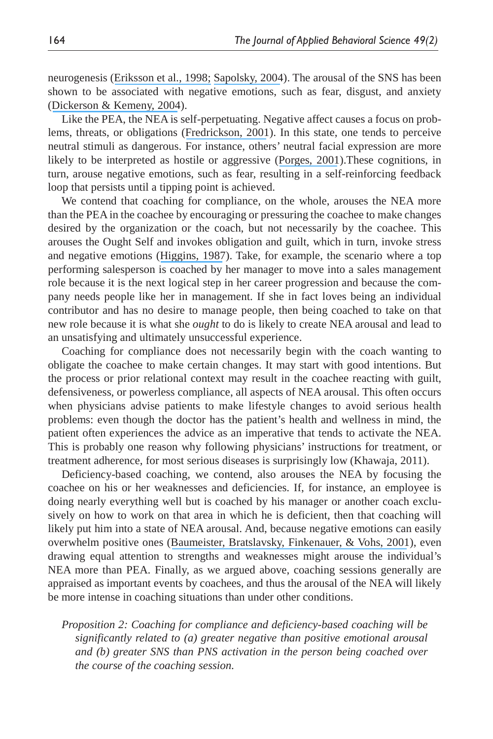neurogenesis ([Eriksson](https://www.researchgate.net/publication/13476119_Neurogenesis_in_the_Adult_Human_Hippocampus?el=1_x_8&enrichId=rgreq-834125dfb8ecd028957b7866192e19dd-XXX&enrichSource=Y292ZXJQYWdlOzI1OTI5MDkxNDtBUzoxMDE4NDYzMjQ2MTMxMzlAMTQwMTI5MzQ2NDg0MA==) et al., 1998; [Sapolsky,](https://www.researchgate.net/publication/248446302_Why_Zebras_don) 2004). The arousal of the SNS has been shown to be associated with negative emotions, such as fear, disgust, and anxiety ([Dickerson](https://www.researchgate.net/publication/8582418_Acute_Stressors_and_Cortisol_Responses_A_Theoretical_Integration_and_Synthesis_of_Laboratory_Research?el=1_x_8&enrichId=rgreq-834125dfb8ecd028957b7866192e19dd-XXX&enrichSource=Y292ZXJQYWdlOzI1OTI5MDkxNDtBUzoxMDE4NDYzMjQ2MTMxMzlAMTQwMTI5MzQ2NDg0MA==) & Kemeny, 2004).

Like the PEA, the NEA is self-perpetuating. Negative affect causes a focus on problems, threats, or obligations ([Fredrickson, 2001](https://www.researchgate.net/publication/272078884_The_Role_of_Positive_Emotions_in_Positive_Psychology?el=1_x_8&enrichId=rgreq-834125dfb8ecd028957b7866192e19dd-XXX&enrichSource=Y292ZXJQYWdlOzI1OTI5MDkxNDtBUzoxMDE4NDYzMjQ2MTMxMzlAMTQwMTI5MzQ2NDg0MA==)). In this state, one tends to perceive neutral stimuli as dangerous. For instance, others' neutral facial expression are more likely to be interpreted as hostile or aggressive ([Porges, 2001](https://www.researchgate.net/publication/11761541_The_polyvagal_theory_Phylogenetic_substrates_of_a_social_nervous_system?el=1_x_8&enrichId=rgreq-834125dfb8ecd028957b7866192e19dd-XXX&enrichSource=Y292ZXJQYWdlOzI1OTI5MDkxNDtBUzoxMDE4NDYzMjQ2MTMxMzlAMTQwMTI5MzQ2NDg0MA==)).These cognitions, in turn, arouse negative emotions, such as fear, resulting in a self-reinforcing feedback loop that persists until a tipping point is achieved.

We contend that coaching for compliance, on the whole, arouses the NEA more than the PEA in the coachee by encouraging or pressuring the coachee to make changes desired by the organization or the coach, but not necessarily by the coachee. This arouses the Ought Self and invokes obligation and guilt, which in turn, invoke stress and negative emotions ([Higgins,](https://www.researchgate.net/publication/19545638_Self-Discrepancy_A_Theory_Relating_Self_and_Affect?el=1_x_8&enrichId=rgreq-834125dfb8ecd028957b7866192e19dd-XXX&enrichSource=Y292ZXJQYWdlOzI1OTI5MDkxNDtBUzoxMDE4NDYzMjQ2MTMxMzlAMTQwMTI5MzQ2NDg0MA==) 1987). Take, for example, the scenario where a top performing salesperson is coached by her manager to move into a sales management role because it is the next logical step in her career progression and because the company needs people like her in management. If she in fact loves being an individual contributor and has no desire to manage people, then being coached to take on that new role because it is what she *ought* to do is likely to create NEA arousal and lead to an unsatisfying and ultimately unsuccessful experience.

Coaching for compliance does not necessarily begin with the coach wanting to obligate the coachee to make certain changes. It may start with good intentions. But the process or prior relational context may result in the coachee reacting with guilt, defensiveness, or powerless compliance, all aspects of NEA arousal. This often occurs when physicians advise patients to make lifestyle changes to avoid serious health problems: even though the doctor has the patient's health and wellness in mind, the patient often experiences the advice as an imperative that tends to activate the NEA. This is probably one reason why following physicians' instructions for treatment, or treatment adherence, for most serious diseases is surprisingly low (Khawaja, 2011).

Deficiency-based coaching, we contend, also arouses the NEA by focusing the coachee on his or her weaknesses and deficiencies. If, for instance, an employee is doing nearly everything well but is coached by his manager or another coach exclusively on how to work on that area in which he is deficient, then that coaching will likely put him into a state of NEA arousal. And, because negative emotions can easily overwhelm positive ones (Baumeister, [Bratslavsky,](https://www.researchgate.net/publication/46608952_Bad_Is_Stronger_than_Good?el=1_x_8&enrichId=rgreq-834125dfb8ecd028957b7866192e19dd-XXX&enrichSource=Y292ZXJQYWdlOzI1OTI5MDkxNDtBUzoxMDE4NDYzMjQ2MTMxMzlAMTQwMTI5MzQ2NDg0MA==) Finkenauer, & Vohs, 2001), even drawing equal attention to strengths and weaknesses might arouse the individual's NEA more than PEA. Finally, as we argued above, coaching sessions generally are appraised as important events by coachees, and thus the arousal of the NEA will likely be more intense in coaching situations than under other conditions.

*Proposition 2: Coaching for compliance and deficiency-based coaching will be significantly related to (a) greater negative than positive emotional arousal and (b) greater SNS than PNS activation in the person being coached over the course of the coaching session.*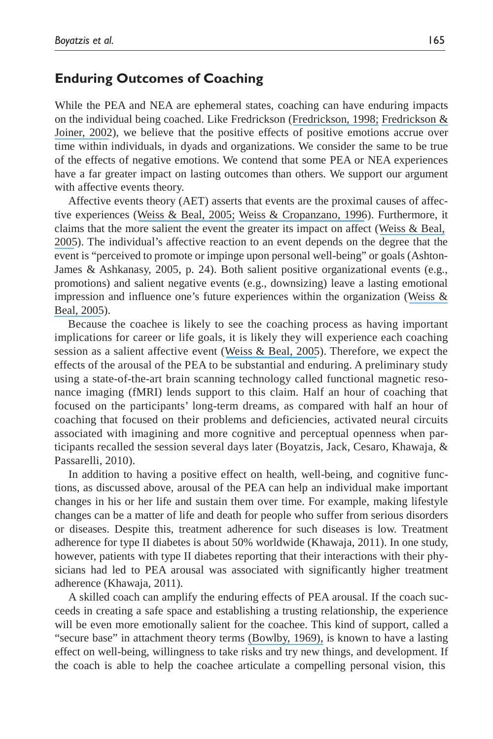# **Enduring Outcomes of Coaching**

While the PEA and NEA are ephemeral states, coaching can have enduring impacts on the individual being coached. Like Fredrickson ([Fredrickson,](https://www.researchgate.net/publication/51579395_What_Good_Are_Positive_Emotions?el=1_x_8&enrichId=rgreq-834125dfb8ecd028957b7866192e19dd-XXX&enrichSource=Y292ZXJQYWdlOzI1OTI5MDkxNDtBUzoxMDE4NDYzMjQ2MTMxMzlAMTQwMTI5MzQ2NDg0MA==) 1998; [Fredrickson](https://www.researchgate.net/publication/11431735_Positive_Emotions_Trigger_Upward_Spirals_Toward_Emotional_Well-Being?el=1_x_8&enrichId=rgreq-834125dfb8ecd028957b7866192e19dd-XXX&enrichSource=Y292ZXJQYWdlOzI1OTI5MDkxNDtBUzoxMDE4NDYzMjQ2MTMxMzlAMTQwMTI5MzQ2NDg0MA==) & [Joiner, 2002](https://www.researchgate.net/publication/11431735_Positive_Emotions_Trigger_Upward_Spirals_Toward_Emotional_Well-Being?el=1_x_8&enrichId=rgreq-834125dfb8ecd028957b7866192e19dd-XXX&enrichSource=Y292ZXJQYWdlOzI1OTI5MDkxNDtBUzoxMDE4NDYzMjQ2MTMxMzlAMTQwMTI5MzQ2NDg0MA==)), we believe that the positive effects of positive emotions accrue over time within individuals, in dyads and organizations. We consider the same to be true of the effects of negative emotions. We contend that some PEA or NEA experiences have a far greater impact on lasting outcomes than others. We support our argument with affective events theory.

Affective events theory (AET) asserts that events are the proximal causes of affective experiences (Weiss & Beal, [2005;](https://www.researchgate.net/publication/243459479_Reflections_on_Affective_Events_Theory?el=1_x_8&enrichId=rgreq-834125dfb8ecd028957b7866192e19dd-XXX&enrichSource=Y292ZXJQYWdlOzI1OTI5MDkxNDtBUzoxMDE4NDYzMjQ2MTMxMzlAMTQwMTI5MzQ2NDg0MA==) Weiss & [Cropanzano,](https://www.researchgate.net/publication/292525724_Affective_events_theory_A_theoretical_discussion_of_the_structure_causes_and_consequences_of_affective_experiences_and_job_beliefs_on_job_satisfaction_and_variations_in_affective_experiences_over_time?el=1_x_8&enrichId=rgreq-834125dfb8ecd028957b7866192e19dd-XXX&enrichSource=Y292ZXJQYWdlOzI1OTI5MDkxNDtBUzoxMDE4NDYzMjQ2MTMxMzlAMTQwMTI5MzQ2NDg0MA==) 1996). Furthermore, it claims that the more salient the event the greater its impact on affect ([Weiss](https://www.researchgate.net/publication/243459479_Reflections_on_Affective_Events_Theory?el=1_x_8&enrichId=rgreq-834125dfb8ecd028957b7866192e19dd-XXX&enrichSource=Y292ZXJQYWdlOzI1OTI5MDkxNDtBUzoxMDE4NDYzMjQ2MTMxMzlAMTQwMTI5MzQ2NDg0MA==) & Beal, [2005](https://www.researchgate.net/publication/243459479_Reflections_on_Affective_Events_Theory?el=1_x_8&enrichId=rgreq-834125dfb8ecd028957b7866192e19dd-XXX&enrichSource=Y292ZXJQYWdlOzI1OTI5MDkxNDtBUzoxMDE4NDYzMjQ2MTMxMzlAMTQwMTI5MzQ2NDg0MA==)). The individual's affective reaction to an event depends on the degree that the event is "perceived to promote or impinge upon personal well-being" or goals (Ashton-James & Ashkanasy, 2005, p. 24). Both salient positive organizational events (e.g., promotions) and salient negative events (e.g., downsizing) leave a lasting emotional impression and influence one's future experiences within the organization ([Weiss &](https://www.researchgate.net/publication/243459479_Reflections_on_Affective_Events_Theory?el=1_x_8&enrichId=rgreq-834125dfb8ecd028957b7866192e19dd-XXX&enrichSource=Y292ZXJQYWdlOzI1OTI5MDkxNDtBUzoxMDE4NDYzMjQ2MTMxMzlAMTQwMTI5MzQ2NDg0MA==) [Beal, 2005](https://www.researchgate.net/publication/243459479_Reflections_on_Affective_Events_Theory?el=1_x_8&enrichId=rgreq-834125dfb8ecd028957b7866192e19dd-XXX&enrichSource=Y292ZXJQYWdlOzI1OTI5MDkxNDtBUzoxMDE4NDYzMjQ2MTMxMzlAMTQwMTI5MzQ2NDg0MA==)).

Because the coachee is likely to see the coaching process as having important implications for career or life goals, it is likely they will experience each coaching session as a salient affective event ([Weiss](https://www.researchgate.net/publication/243459479_Reflections_on_Affective_Events_Theory?el=1_x_8&enrichId=rgreq-834125dfb8ecd028957b7866192e19dd-XXX&enrichSource=Y292ZXJQYWdlOzI1OTI5MDkxNDtBUzoxMDE4NDYzMjQ2MTMxMzlAMTQwMTI5MzQ2NDg0MA==) & Beal, 2005). Therefore, we expect the effects of the arousal of the PEA to be substantial and enduring. A preliminary study using a state-of-the-art brain scanning technology called functional magnetic resonance imaging (fMRI) lends support to this claim. Half an hour of coaching that focused on the participants' long-term dreams, as compared with half an hour of coaching that focused on their problems and deficiencies, activated neural circuits associated with imagining and more cognitive and perceptual openness when participants recalled the session several days later (Boyatzis, Jack, Cesaro, Khawaja, & Passarelli, 2010).

In addition to having a positive effect on health, well-being, and cognitive functions, as discussed above, arousal of the PEA can help an individual make important changes in his or her life and sustain them over time. For example, making lifestyle changes can be a matter of life and death for people who suffer from serious disorders or diseases. Despite this, treatment adherence for such diseases is low. Treatment adherence for type II diabetes is about 50% worldwide (Khawaja, 2011). In one study, however, patients with type II diabetes reporting that their interactions with their physicians had led to PEA arousal was associated with significantly higher treatment adherence (Khawaja, 2011).

A skilled coach can amplify the enduring effects of PEA arousal. If the coach succeeds in creating a safe space and establishing a trusting relationship, the experience will be even more emotionally salient for the coachee. This kind of support, called a "secure base" in attachment theory terms [\(Bowlby, 1969\),](https://www.researchgate.net/publication/245548952_Attachment_and_Loss_Vol_1?el=1_x_8&enrichId=rgreq-834125dfb8ecd028957b7866192e19dd-XXX&enrichSource=Y292ZXJQYWdlOzI1OTI5MDkxNDtBUzoxMDE4NDYzMjQ2MTMxMzlAMTQwMTI5MzQ2NDg0MA==) is known to have a lasting effect on well-being, willingness to take risks and try new things, and development. If the coach is able to help the coachee articulate a compelling personal vision, this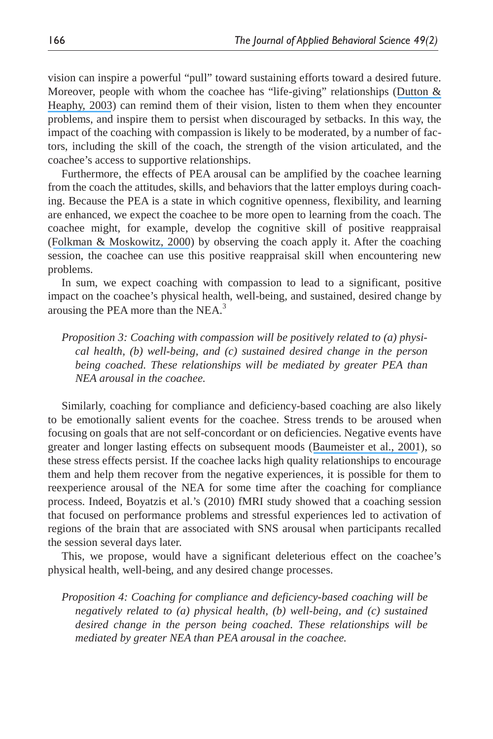vision can inspire a powerful "pull" toward sustaining efforts toward a desired future. Moreover, people with whom the coachee has "life-giving" relationships (Dutton  $\&$ [Heaphy, 2003](https://www.researchgate.net/publication/262725459_The_Power_of_High_Quality_Connections?el=1_x_8&enrichId=rgreq-834125dfb8ecd028957b7866192e19dd-XXX&enrichSource=Y292ZXJQYWdlOzI1OTI5MDkxNDtBUzoxMDE4NDYzMjQ2MTMxMzlAMTQwMTI5MzQ2NDg0MA==)) can remind them of their vision, listen to them when they encounter problems, and inspire them to persist when discouraged by setbacks. In this way, the impact of the coaching with compassion is likely to be moderated, by a number of factors, including the skill of the coach, the strength of the vision articulated, and the coachee's access to supportive relationships.

Furthermore, the effects of PEA arousal can be amplified by the coachee learning from the coach the attitudes, skills, and behaviors that the latter employs during coaching. Because the PEA is a state in which cognitive openness, flexibility, and learning are enhanced, we expect the coachee to be more open to learning from the coach. The coachee might, for example, develop the cognitive skill of positive reappraisal (Folkman & [Moskowitz,](https://www.researchgate.net/publication/12427377_Positive_Affect_and_the_Other_Side_of_Coping?el=1_x_8&enrichId=rgreq-834125dfb8ecd028957b7866192e19dd-XXX&enrichSource=Y292ZXJQYWdlOzI1OTI5MDkxNDtBUzoxMDE4NDYzMjQ2MTMxMzlAMTQwMTI5MzQ2NDg0MA==) 2000) by observing the coach apply it. After the coaching session, the coachee can use this positive reappraisal skill when encountering new problems.

In sum, we expect coaching with compassion to lead to a significant, positive impact on the coachee's physical health, well-being, and sustained, desired change by arousing the PEA more than the NEA.<sup>3</sup>

*Proposition 3: Coaching with compassion will be positively related to (a) physical health, (b) well-being, and (c) sustained desired change in the person being coached. These relationships will be mediated by greater PEA than NEA arousal in the coachee.*

Similarly, coaching for compliance and deficiency-based coaching are also likely to be emotionally salient events for the coachee. Stress trends to be aroused when focusing on goals that are not self-concordant or on deficiencies. Negative events have greater and longer lasting effects on subsequent moods ([Baumeister et al., 2001](https://www.researchgate.net/publication/46608952_Bad_Is_Stronger_than_Good?el=1_x_8&enrichId=rgreq-834125dfb8ecd028957b7866192e19dd-XXX&enrichSource=Y292ZXJQYWdlOzI1OTI5MDkxNDtBUzoxMDE4NDYzMjQ2MTMxMzlAMTQwMTI5MzQ2NDg0MA==)), so these stress effects persist. If the coachee lacks high quality relationships to encourage them and help them recover from the negative experiences, it is possible for them to reexperience arousal of the NEA for some time after the coaching for compliance process. Indeed, Boyatzis et al.'s (2010) fMRI study showed that a coaching session that focused on performance problems and stressful experiences led to activation of regions of the brain that are associated with SNS arousal when participants recalled the session several days later.

This, we propose, would have a significant deleterious effect on the coachee's physical health, well-being, and any desired change processes.

*Proposition 4: Coaching for compliance and deficiency-based coaching will be negatively related to (a) physical health, (b) well-being, and (c) sustained desired change in the person being coached. These relationships will be mediated by greater NEA than PEA arousal in the coachee.*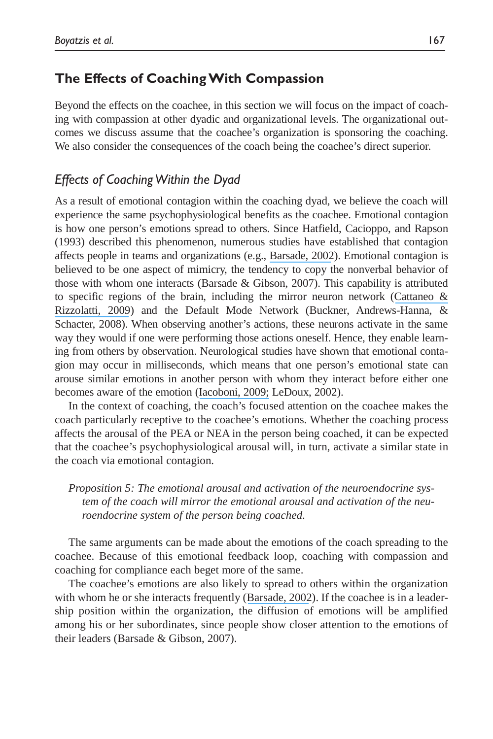# **The Effects of CoachingWith Compassion**

Beyond the effects on the coachee, in this section we will focus on the impact of coaching with compassion at other dyadic and organizational levels. The organizational outcomes we discuss assume that the coachee's organization is sponsoring the coaching. We also consider the consequences of the coach being the coachee's direct superior.

### *Effects of CoachingWithin the Dyad*

As a result of emotional contagion within the coaching dyad, we believe the coach will experience the same psychophysiological benefits as the coachee. Emotional contagion is how one person's emotions spread to others. Since Hatfield, Cacioppo, and Rapson (1993) described this phenomenon, numerous studies have established that contagion affects people in teams and organizations (e.g., [Barsade, 2002](https://www.researchgate.net/publication/234073574_The_Ripple_Effect_Emotional_Contagion_and_Its_Influence_on_Group_Behavior?el=1_x_8&enrichId=rgreq-834125dfb8ecd028957b7866192e19dd-XXX&enrichSource=Y292ZXJQYWdlOzI1OTI5MDkxNDtBUzoxMDE4NDYzMjQ2MTMxMzlAMTQwMTI5MzQ2NDg0MA==)). Emotional contagion is believed to be one aspect of mimicry, the tendency to copy the nonverbal behavior of those with whom one interacts (Barsade & Gibson, 2007). This capability is attributed to specific regions of the brain, including the mirror neuron network (Cattaneo  $\&$ [Rizzolatti,](https://www.researchgate.net/publication/24419151_The_Mirror_Neuron_System?el=1_x_8&enrichId=rgreq-834125dfb8ecd028957b7866192e19dd-XXX&enrichSource=Y292ZXJQYWdlOzI1OTI5MDkxNDtBUzoxMDE4NDYzMjQ2MTMxMzlAMTQwMTI5MzQ2NDg0MA==) 2009) and the Default Mode Network (Buckner, Andrews-Hanna, & Schacter, 2008). When observing another's actions, these neurons activate in the same way they would if one were performing those actions oneself. Hence, they enable learning from others by observation. Neurological studies have shown that emotional contagion may occur in milliseconds, which means that one person's emotional state can arouse similar emotions in another person with whom they interact before either one becomes aware of the emotion ([Iacoboni,](https://www.researchgate.net/publication/23257667_Imitation_Empathy_and_Mirror_Neurons?el=1_x_8&enrichId=rgreq-834125dfb8ecd028957b7866192e19dd-XXX&enrichSource=Y292ZXJQYWdlOzI1OTI5MDkxNDtBUzoxMDE4NDYzMjQ2MTMxMzlAMTQwMTI5MzQ2NDg0MA==) 2009; LeDoux, 2002).

In the context of coaching, the coach's focused attention on the coachee makes the coach particularly receptive to the coachee's emotions. Whether the coaching process affects the arousal of the PEA or NEA in the person being coached, it can be expected that the coachee's psychophysiological arousal will, in turn, activate a similar state in the coach via emotional contagion.

#### *Proposition 5: The emotional arousal and activation of the neuroendocrine system of the coach will mirror the emotional arousal and activation of the neuroendocrine system of the person being coached.*

The same arguments can be made about the emotions of the coach spreading to the coachee. Because of this emotional feedback loop, coaching with compassion and coaching for compliance each beget more of the same.

The coachee's emotions are also likely to spread to others within the organization with whom he or she interacts frequently ([Barsade,](https://www.researchgate.net/publication/234073574_The_Ripple_Effect_Emotional_Contagion_and_Its_Influence_on_Group_Behavior?el=1_x_8&enrichId=rgreq-834125dfb8ecd028957b7866192e19dd-XXX&enrichSource=Y292ZXJQYWdlOzI1OTI5MDkxNDtBUzoxMDE4NDYzMjQ2MTMxMzlAMTQwMTI5MzQ2NDg0MA==) 2002). If the coachee is in a leadership position within the organization, the diffusion of emotions will be amplified among his or her subordinates, since people show closer attention to the emotions of their leaders (Barsade & Gibson, 2007).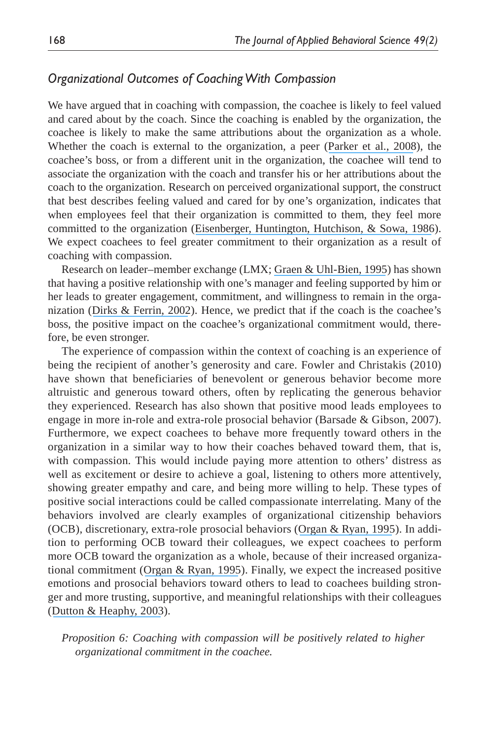# *Organizational Outcomes of CoachingWith Compassion*

We have argued that in coaching with compassion, the coachee is likely to feel valued and cared about by the coach. Since the coaching is enabled by the organization, the coachee is likely to make the same attributions about the organization as a whole. Whether the coach is external to the organization, a peer ([Parker et al., 2008](https://www.researchgate.net/publication/43498540_Peer_Coaching_A_Relational_Process_for_Accelerating_Career_Learning?el=1_x_8&enrichId=rgreq-834125dfb8ecd028957b7866192e19dd-XXX&enrichSource=Y292ZXJQYWdlOzI1OTI5MDkxNDtBUzoxMDE4NDYzMjQ2MTMxMzlAMTQwMTI5MzQ2NDg0MA==)), the coachee's boss, or from a different unit in the organization, the coachee will tend to associate the organization with the coach and transfer his or her attributions about the coach to the organization. Research on perceived organizational support, the construct that best describes feeling valued and cared for by one's organization, indicates that when employees feel that their organization is committed to them, they feel more committed to the organization ([Eisenberger, Huntington, Hutchison, & Sowa, 1986](https://www.researchgate.net/publication/254734637_Perceived_Organizational_Support?el=1_x_8&enrichId=rgreq-834125dfb8ecd028957b7866192e19dd-XXX&enrichSource=Y292ZXJQYWdlOzI1OTI5MDkxNDtBUzoxMDE4NDYzMjQ2MTMxMzlAMTQwMTI5MzQ2NDg0MA==)). We expect coachees to feel greater commitment to their organization as a result of coaching with compassion.

Research on leader–member exchange (LMX; Graen & [Uhl-Bien,](https://www.researchgate.net/publication/222734345_Relationship-Based_Approach_to_Leadership_Development_of_Leader-Member_Exchange_LMX_Theory_of_Leadership_over_25_Years_Applying_a_Multi-Level_Multi-Domain_Perspective?el=1_x_8&enrichId=rgreq-834125dfb8ecd028957b7866192e19dd-XXX&enrichSource=Y292ZXJQYWdlOzI1OTI5MDkxNDtBUzoxMDE4NDYzMjQ2MTMxMzlAMTQwMTI5MzQ2NDg0MA==) 1995) has shown that having a positive relationship with one's manager and feeling supported by him or her leads to greater engagement, commitment, and willingness to remain in the organization ([Dirks & Ferrin, 2002](https://www.researchgate.net/publication/11202113_Trust_in_Leadership_Meta-Analytic_Findings_and_Implications_for_Research_and_Practice?el=1_x_8&enrichId=rgreq-834125dfb8ecd028957b7866192e19dd-XXX&enrichSource=Y292ZXJQYWdlOzI1OTI5MDkxNDtBUzoxMDE4NDYzMjQ2MTMxMzlAMTQwMTI5MzQ2NDg0MA==)). Hence, we predict that if the coach is the coachee's boss, the positive impact on the coachee's organizational commitment would, therefore, be even stronger.

The experience of compassion within the context of coaching is an experience of being the recipient of another's generosity and care. Fowler and Christakis (2010) have shown that beneficiaries of benevolent or generous behavior become more altruistic and generous toward others, often by replicating the generous behavior they experienced. Research has also shown that positive mood leads employees to engage in more in-role and extra-role prosocial behavior (Barsade & Gibson, 2007). Furthermore, we expect coachees to behave more frequently toward others in the organization in a similar way to how their coaches behaved toward them, that is, with compassion. This would include paying more attention to others' distress as well as excitement or desire to achieve a goal, listening to others more attentively, showing greater empathy and care, and being more willing to help. These types of positive social interactions could be called compassionate interrelating. Many of the behaviors involved are clearly examples of organizational citizenship behaviors (OCB), discretionary, extra-role prosocial behaviors (Organ & [Ryan,](https://www.researchgate.net/publication/227768940_A_Meta-Analytic_Review_of_Attitudinal_and_Dispositional_Predictors_of_Organizational_Citizenship_Behavior?el=1_x_8&enrichId=rgreq-834125dfb8ecd028957b7866192e19dd-XXX&enrichSource=Y292ZXJQYWdlOzI1OTI5MDkxNDtBUzoxMDE4NDYzMjQ2MTMxMzlAMTQwMTI5MzQ2NDg0MA==) 1995). In addition to performing OCB toward their colleagues, we expect coachees to perform more OCB toward the organization as a whole, because of their increased organizational commitment ([Organ & Ryan, 1995](https://www.researchgate.net/publication/227768940_A_Meta-Analytic_Review_of_Attitudinal_and_Dispositional_Predictors_of_Organizational_Citizenship_Behavior?el=1_x_8&enrichId=rgreq-834125dfb8ecd028957b7866192e19dd-XXX&enrichSource=Y292ZXJQYWdlOzI1OTI5MDkxNDtBUzoxMDE4NDYzMjQ2MTMxMzlAMTQwMTI5MzQ2NDg0MA==)). Finally, we expect the increased positive emotions and prosocial behaviors toward others to lead to coachees building stronger and more trusting, supportive, and meaningful relationships with their colleagues (Dutton & [Heaphy,](https://www.researchgate.net/publication/262725459_The_Power_of_High_Quality_Connections?el=1_x_8&enrichId=rgreq-834125dfb8ecd028957b7866192e19dd-XXX&enrichSource=Y292ZXJQYWdlOzI1OTI5MDkxNDtBUzoxMDE4NDYzMjQ2MTMxMzlAMTQwMTI5MzQ2NDg0MA==) 2003).

*Proposition 6: Coaching with compassion will be positively related to higher organizational commitment in the coachee.*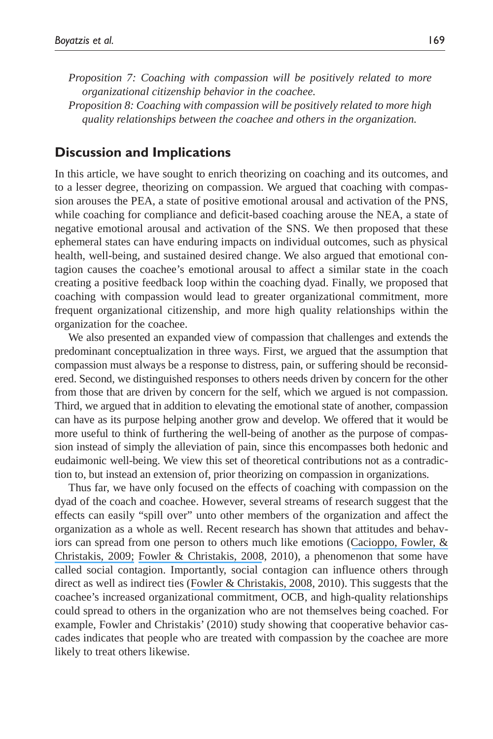*Proposition 7: Coaching with compassion will be positively related to more organizational citizenship behavior in the coachee.*

*Proposition 8: Coaching with compassion will be positively related to more high quality relationships between the coachee and others in the organization.*

#### **Discussion and Implications**

In this article, we have sought to enrich theorizing on coaching and its outcomes, and to a lesser degree, theorizing on compassion. We argued that coaching with compassion arouses the PEA, a state of positive emotional arousal and activation of the PNS, while coaching for compliance and deficit-based coaching arouse the NEA, a state of negative emotional arousal and activation of the SNS. We then proposed that these ephemeral states can have enduring impacts on individual outcomes, such as physical health, well-being, and sustained desired change. We also argued that emotional contagion causes the coachee's emotional arousal to affect a similar state in the coach creating a positive feedback loop within the coaching dyad. Finally, we proposed that coaching with compassion would lead to greater organizational commitment, more frequent organizational citizenship, and more high quality relationships within the organization for the coachee.

We also presented an expanded view of compassion that challenges and extends the predominant conceptualization in three ways. First, we argued that the assumption that compassion must always be a response to distress, pain, or suffering should be reconsidered. Second, we distinguished responses to others needs driven by concern for the other from those that are driven by concern for the self, which we argued is not compassion. Third, we argued that in addition to elevating the emotional state of another, compassion can have as its purpose helping another grow and develop. We offered that it would be more useful to think of furthering the well-being of another as the purpose of compassion instead of simply the alleviation of pain, since this encompasses both hedonic and eudaimonic well-being. We view this set of theoretical contributions not as a contradiction to, but instead an extension of, prior theorizing on compassion in organizations.

Thus far, we have only focused on the effects of coaching with compassion on the dyad of the coach and coachee. However, several streams of research suggest that the effects can easily "spill over" unto other members of the organization and affect the organization as a whole as well. Recent research has shown that attitudes and behaviors can spread from one person to others much like emotions ([Cacioppo, Fowler, &](https://www.researchgate.net/publication/40455331_Alone_in_the_Crowd_The_Structure_and_Spread_of_Loneliness_in_a_Large_Social_Network?el=1_x_8&enrichId=rgreq-834125dfb8ecd028957b7866192e19dd-XXX&enrichSource=Y292ZXJQYWdlOzI1OTI5MDkxNDtBUzoxMDE4NDYzMjQ2MTMxMzlAMTQwMTI5MzQ2NDg0MA==)  [Christakis,](https://www.researchgate.net/publication/40455331_Alone_in_the_Crowd_The_Structure_and_Spread_of_Loneliness_in_a_Large_Social_Network?el=1_x_8&enrichId=rgreq-834125dfb8ecd028957b7866192e19dd-XXX&enrichSource=Y292ZXJQYWdlOzI1OTI5MDkxNDtBUzoxMDE4NDYzMjQ2MTMxMzlAMTQwMTI5MzQ2NDg0MA==) 2009; [Fowler & Christakis, 2008](https://www.researchgate.net/publication/23571732_Dynamic_Spread_of_Happiness_in_a_Large_Social_Network_Longitudinal_Analysis_Over_20_Years_in_the_Framingham_Heart_Study?el=1_x_8&enrichId=rgreq-834125dfb8ecd028957b7866192e19dd-XXX&enrichSource=Y292ZXJQYWdlOzI1OTI5MDkxNDtBUzoxMDE4NDYzMjQ2MTMxMzlAMTQwMTI5MzQ2NDg0MA==), 2010), a phenomenon that some have called social contagion. Importantly, social contagion can influence others through direct as well as indirect ties (Fowler & [Christakis,](https://www.researchgate.net/publication/23571732_Dynamic_Spread_of_Happiness_in_a_Large_Social_Network_Longitudinal_Analysis_Over_20_Years_in_the_Framingham_Heart_Study?el=1_x_8&enrichId=rgreq-834125dfb8ecd028957b7866192e19dd-XXX&enrichSource=Y292ZXJQYWdlOzI1OTI5MDkxNDtBUzoxMDE4NDYzMjQ2MTMxMzlAMTQwMTI5MzQ2NDg0MA==) 2008, 2010). This suggests that the coachee's increased organizational commitment, OCB, and high-quality relationships could spread to others in the organization who are not themselves being coached. For example, Fowler and Christakis' (2010) study showing that cooperative behavior cascades indicates that people who are treated with compassion by the coachee are more likely to treat others likewise.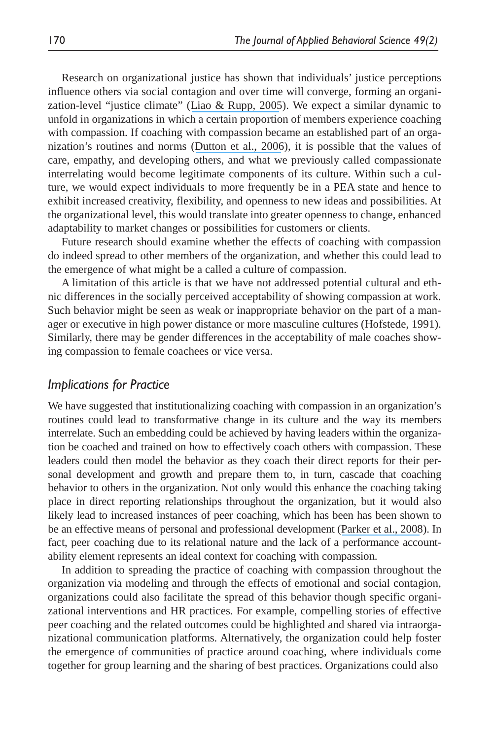Research on organizational justice has shown that individuals' justice perceptions influence others via social contagion and over time will converge, forming an organi-zation-level "justice climate" (Liao & [Rupp,](https://www.researchgate.net/publication/7966103_The_Impact_of_Justice_Climate_and_Justice_Orientation_on_Work_Outcomes_A_Cross-Level_Multifoci_Framework?el=1_x_8&enrichId=rgreq-834125dfb8ecd028957b7866192e19dd-XXX&enrichSource=Y292ZXJQYWdlOzI1OTI5MDkxNDtBUzoxMDE4NDYzMjQ2MTMxMzlAMTQwMTI5MzQ2NDg0MA==) 2005). We expect a similar dynamic to unfold in organizations in which a certain proportion of members experience coaching with compassion. If coaching with compassion became an established part of an organization's routines and norms ([Dutton et al., 2006](https://www.researchgate.net/publication/241644034_Explaining_Compassion_Organizing?el=1_x_8&enrichId=rgreq-834125dfb8ecd028957b7866192e19dd-XXX&enrichSource=Y292ZXJQYWdlOzI1OTI5MDkxNDtBUzoxMDE4NDYzMjQ2MTMxMzlAMTQwMTI5MzQ2NDg0MA==)), it is possible that the values of care, empathy, and developing others, and what we previously called compassionate interrelating would become legitimate components of its culture. Within such a culture, we would expect individuals to more frequently be in a PEA state and hence to exhibit increased creativity, flexibility, and openness to new ideas and possibilities. At the organizational level, this would translate into greater openness to change, enhanced adaptability to market changes or possibilities for customers or clients.

Future research should examine whether the effects of coaching with compassion do indeed spread to other members of the organization, and whether this could lead to the emergence of what might be a called a culture of compassion.

A limitation of this article is that we have not addressed potential cultural and ethnic differences in the socially perceived acceptability of showing compassion at work. Such behavior might be seen as weak or inappropriate behavior on the part of a manager or executive in high power distance or more masculine cultures (Hofstede, 1991). Similarly, there may be gender differences in the acceptability of male coaches showing compassion to female coachees or vice versa.

#### *Implications for Practice*

We have suggested that institutionalizing coaching with compassion in an organization's routines could lead to transformative change in its culture and the way its members interrelate. Such an embedding could be achieved by having leaders within the organization be coached and trained on how to effectively coach others with compassion. These leaders could then model the behavior as they coach their direct reports for their personal development and growth and prepare them to, in turn, cascade that coaching behavior to others in the organization. Not only would this enhance the coaching taking place in direct reporting relationships throughout the organization, but it would also likely lead to increased instances of peer coaching, which has been has been shown to be an effective means of personal and professional development ([Parker](https://www.researchgate.net/publication/43498540_Peer_Coaching_A_Relational_Process_for_Accelerating_Career_Learning?el=1_x_8&enrichId=rgreq-834125dfb8ecd028957b7866192e19dd-XXX&enrichSource=Y292ZXJQYWdlOzI1OTI5MDkxNDtBUzoxMDE4NDYzMjQ2MTMxMzlAMTQwMTI5MzQ2NDg0MA==) et al., 2008). In fact, peer coaching due to its relational nature and the lack of a performance accountability element represents an ideal context for coaching with compassion.

In addition to spreading the practice of coaching with compassion throughout the organization via modeling and through the effects of emotional and social contagion, organizations could also facilitate the spread of this behavior though specific organizational interventions and HR practices. For example, compelling stories of effective peer coaching and the related outcomes could be highlighted and shared via intraorganizational communication platforms. Alternatively, the organization could help foster the emergence of communities of practice around coaching, where individuals come together for group learning and the sharing of best practices. Organizations could also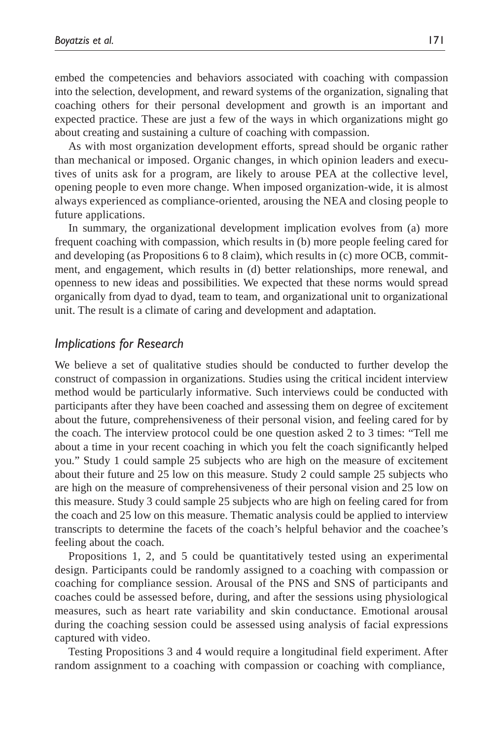embed the competencies and behaviors associated with coaching with compassion into the selection, development, and reward systems of the organization, signaling that coaching others for their personal development and growth is an important and expected practice. These are just a few of the ways in which organizations might go about creating and sustaining a culture of coaching with compassion.

As with most organization development efforts, spread should be organic rather than mechanical or imposed. Organic changes, in which opinion leaders and executives of units ask for a program, are likely to arouse PEA at the collective level, opening people to even more change. When imposed organization-wide, it is almost always experienced as compliance-oriented, arousing the NEA and closing people to future applications.

In summary, the organizational development implication evolves from (a) more frequent coaching with compassion, which results in (b) more people feeling cared for and developing (as Propositions 6 to 8 claim), which results in (c) more OCB, commitment, and engagement, which results in (d) better relationships, more renewal, and openness to new ideas and possibilities. We expected that these norms would spread organically from dyad to dyad, team to team, and organizational unit to organizational unit. The result is a climate of caring and development and adaptation.

### *Implications for Research*

We believe a set of qualitative studies should be conducted to further develop the construct of compassion in organizations. Studies using the critical incident interview method would be particularly informative. Such interviews could be conducted with participants after they have been coached and assessing them on degree of excitement about the future, comprehensiveness of their personal vision, and feeling cared for by the coach. The interview protocol could be one question asked 2 to 3 times: "Tell me about a time in your recent coaching in which you felt the coach significantly helped you." Study 1 could sample 25 subjects who are high on the measure of excitement about their future and 25 low on this measure. Study 2 could sample 25 subjects who are high on the measure of comprehensiveness of their personal vision and 25 low on this measure. Study 3 could sample 25 subjects who are high on feeling cared for from the coach and 25 low on this measure. Thematic analysis could be applied to interview transcripts to determine the facets of the coach's helpful behavior and the coachee's feeling about the coach.

Propositions 1, 2, and 5 could be quantitatively tested using an experimental design. Participants could be randomly assigned to a coaching with compassion or coaching for compliance session. Arousal of the PNS and SNS of participants and coaches could be assessed before, during, and after the sessions using physiological measures, such as heart rate variability and skin conductance. Emotional arousal during the coaching session could be assessed using analysis of facial expressions captured with video.

Testing Propositions 3 and 4 would require a longitudinal field experiment. After random assignment to a coaching with compassion or coaching with compliance,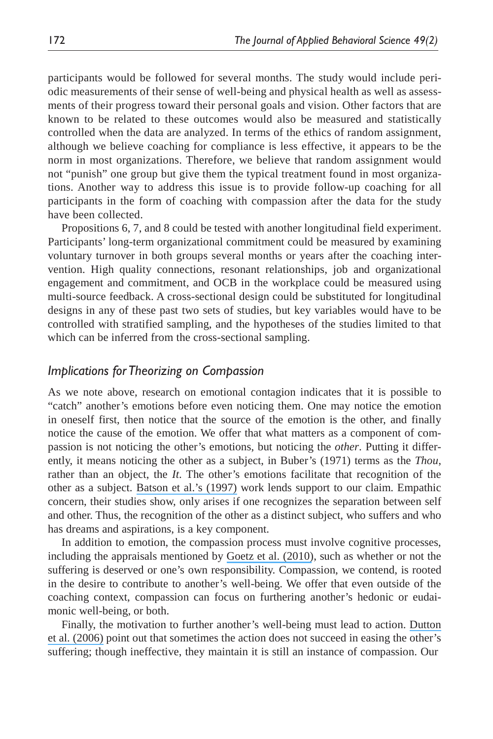participants would be followed for several months. The study would include periodic measurements of their sense of well-being and physical health as well as assessments of their progress toward their personal goals and vision. Other factors that are known to be related to these outcomes would also be measured and statistically controlled when the data are analyzed. In terms of the ethics of random assignment, although we believe coaching for compliance is less effective, it appears to be the norm in most organizations. Therefore, we believe that random assignment would not "punish" one group but give them the typical treatment found in most organizations. Another way to address this issue is to provide follow-up coaching for all participants in the form of coaching with compassion after the data for the study have been collected.

Propositions 6, 7, and 8 could be tested with another longitudinal field experiment. Participants' long-term organizational commitment could be measured by examining voluntary turnover in both groups several months or years after the coaching intervention. High quality connections, resonant relationships, job and organizational engagement and commitment, and OCB in the workplace could be measured using multi-source feedback. A cross-sectional design could be substituted for longitudinal designs in any of these past two sets of studies, but key variables would have to be controlled with stratified sampling, and the hypotheses of the studies limited to that which can be inferred from the cross-sectional sampling.

#### *Implications forTheorizing on Compassion*

As we note above, research on emotional contagion indicates that it is possible to "catch" another's emotions before even noticing them. One may notice the emotion in oneself first, then notice that the source of the emotion is the other, and finally notice the cause of the emotion. We offer that what matters as a component of compassion is not noticing the other's emotions, but noticing the *other*. Putting it differently, it means noticing the other as a subject, in Buber's (1971) terms as the *Thou*, rather than an object, the *It*. The other's emotions facilitate that recognition of the other as a subject. [Batson et al.'s \(1997\)](https://www.researchgate.net/publication/247746451_Perspective_Taking_Imagining_How_Another_Feels_Versus_Imaging_How_You_Would_Feel?el=1_x_8&enrichId=rgreq-834125dfb8ecd028957b7866192e19dd-XXX&enrichSource=Y292ZXJQYWdlOzI1OTI5MDkxNDtBUzoxMDE4NDYzMjQ2MTMxMzlAMTQwMTI5MzQ2NDg0MA==) work lends support to our claim. Empathic concern, their studies show, only arises if one recognizes the separation between self and other. Thus, the recognition of the other as a distinct subject, who suffers and who has dreams and aspirations, is a key component.

In addition to emotion, the compassion process must involve cognitive processes, including the appraisals mentioned by [Goetz et al. \(2010\)](https://www.researchgate.net/publication/44569135_Compassion_An_Evolutionary_Analysis_and_Empirical_Review?el=1_x_8&enrichId=rgreq-834125dfb8ecd028957b7866192e19dd-XXX&enrichSource=Y292ZXJQYWdlOzI1OTI5MDkxNDtBUzoxMDE4NDYzMjQ2MTMxMzlAMTQwMTI5MzQ2NDg0MA==), such as whether or not the suffering is deserved or one's own responsibility. Compassion, we contend, is rooted in the desire to contribute to another's well-being. We offer that even outside of the coaching context, compassion can focus on furthering another's hedonic or eudaimonic well-being, or both.

Finally, the motivation to further another's well-being must lead to action. [Dutton](https://www.researchgate.net/publication/241644034_Explaining_Compassion_Organizing?el=1_x_8&enrichId=rgreq-834125dfb8ecd028957b7866192e19dd-XXX&enrichSource=Y292ZXJQYWdlOzI1OTI5MDkxNDtBUzoxMDE4NDYzMjQ2MTMxMzlAMTQwMTI5MzQ2NDg0MA==)  et al. [\(2006\)](https://www.researchgate.net/publication/241644034_Explaining_Compassion_Organizing?el=1_x_8&enrichId=rgreq-834125dfb8ecd028957b7866192e19dd-XXX&enrichSource=Y292ZXJQYWdlOzI1OTI5MDkxNDtBUzoxMDE4NDYzMjQ2MTMxMzlAMTQwMTI5MzQ2NDg0MA==) point out that sometimes the action does not succeed in easing the other's suffering; though ineffective, they maintain it is still an instance of compassion. Our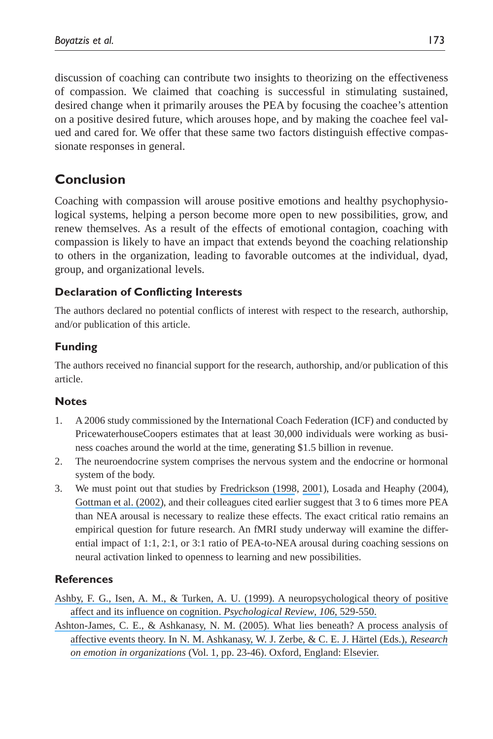discussion of coaching can contribute two insights to theorizing on the effectiveness of compassion. We claimed that coaching is successful in stimulating sustained, desired change when it primarily arouses the PEA by focusing the coachee's attention on a positive desired future, which arouses hope, and by making the coachee feel valued and cared for. We offer that these same two factors distinguish effective compassionate responses in general.

# **Conclusion**

Coaching with compassion will arouse positive emotions and healthy psychophysiological systems, helping a person become more open to new possibilities, grow, and renew themselves. As a result of the effects of emotional contagion, coaching with compassion is likely to have an impact that extends beyond the coaching relationship to others in the organization, leading to favorable outcomes at the individual, dyad, group, and organizational levels.

#### **Declaration of Conflicting Interests**

The authors declared no potential conflicts of interest with respect to the research, authorship, and/or publication of this article.

### **Funding**

The authors received no financial support for the research, authorship, and/or publication of this article.

#### **Notes**

- 1. A 2006 study commissioned by the International Coach Federation (ICF) and conducted by PricewaterhouseCoopers estimates that at least 30,000 individuals were working as business coaches around the world at the time, generating \$1.5 billion in revenue.
- 2. The neuroendocrine system comprises the nervous system and the endocrine or hormonal system of the body.
- 3. We must point out that studies by [Fredrickson](https://www.researchgate.net/publication/51579395_What_Good_Are_Positive_Emotions?el=1_x_8&enrichId=rgreq-834125dfb8ecd028957b7866192e19dd-XXX&enrichSource=Y292ZXJQYWdlOzI1OTI5MDkxNDtBUzoxMDE4NDYzMjQ2MTMxMzlAMTQwMTI5MzQ2NDg0MA==) (1998, [2001](https://www.researchgate.net/publication/272078884_The_Role_of_Positive_Emotions_in_Positive_Psychology?el=1_x_8&enrichId=rgreq-834125dfb8ecd028957b7866192e19dd-XXX&enrichSource=Y292ZXJQYWdlOzI1OTI5MDkxNDtBUzoxMDE4NDYzMjQ2MTMxMzlAMTQwMTI5MzQ2NDg0MA==)), Losada and Heaphy (2004), [Gottman](https://www.researchgate.net/publication/232424148_The_Mathematics_of_Marriage_Dynamic_Nonlinear_Models?el=1_x_8&enrichId=rgreq-834125dfb8ecd028957b7866192e19dd-XXX&enrichSource=Y292ZXJQYWdlOzI1OTI5MDkxNDtBUzoxMDE4NDYzMjQ2MTMxMzlAMTQwMTI5MzQ2NDg0MA==) et al. (2002), and their colleagues cited earlier suggest that 3 to 6 times more PEA than NEA arousal is necessary to realize these effects. The exact critical ratio remains an empirical question for future research. An fMRI study underway will examine the differential impact of 1:1, 2:1, or 3:1 ratio of PEA-to-NEA arousal during coaching sessions on neural activation linked to openness to learning and new possibilities.

#### **References**

- Ashby, F. G., Isen, A. M., & Turken, A. U. [\(1999\). A neuropsychological](https://www.researchgate.net/publication/12831914_A_Neuropsychological_Theory_of_Positive_Affect_and_Its_Influence_on_Cognition?el=1_x_8&enrichId=rgreq-834125dfb8ecd028957b7866192e19dd-XXX&enrichSource=Y292ZXJQYWdlOzI1OTI5MDkxNDtBUzoxMDE4NDYzMjQ2MTMxMzlAMTQwMTI5MzQ2NDg0MA==) theory of positive [affect and its influence on cognition.](https://www.researchgate.net/publication/12831914_A_Neuropsychological_Theory_of_Positive_Affect_and_Its_Influence_on_Cognition?el=1_x_8&enrichId=rgreq-834125dfb8ecd028957b7866192e19dd-XXX&enrichSource=Y292ZXJQYWdlOzI1OTI5MDkxNDtBUzoxMDE4NDYzMjQ2MTMxMzlAMTQwMTI5MzQ2NDg0MA==) *Psychological Review*, *106*, 529-550.
- Ashton-James, C. E., & Ashkanasy, N. M. (2005). What lies [beneath? A process](https://www.researchgate.net/publication/43468516_What_lies_beneath_A_process_analysis_of_affective_events_theory?el=1_x_8&enrichId=rgreq-834125dfb8ecd028957b7866192e19dd-XXX&enrichSource=Y292ZXJQYWdlOzI1OTI5MDkxNDtBUzoxMDE4NDYzMjQ2MTMxMzlAMTQwMTI5MzQ2NDg0MA==) analysis of affective events theory. In N. M. [Ashkanasy,](https://www.researchgate.net/publication/43468516_What_lies_beneath_A_process_analysis_of_affective_events_theory?el=1_x_8&enrichId=rgreq-834125dfb8ecd028957b7866192e19dd-XXX&enrichSource=Y292ZXJQYWdlOzI1OTI5MDkxNDtBUzoxMDE4NDYzMjQ2MTMxMzlAMTQwMTI5MzQ2NDg0MA==) W. J. Zerbe, & C. E. J. Härtel (Eds.), *Research on emotion in organizations* [\(Vol. 1, pp. 23-46\). Oxford, England: Elsevier.](https://www.researchgate.net/publication/43468516_What_lies_beneath_A_process_analysis_of_affective_events_theory?el=1_x_8&enrichId=rgreq-834125dfb8ecd028957b7866192e19dd-XXX&enrichSource=Y292ZXJQYWdlOzI1OTI5MDkxNDtBUzoxMDE4NDYzMjQ2MTMxMzlAMTQwMTI5MzQ2NDg0MA==)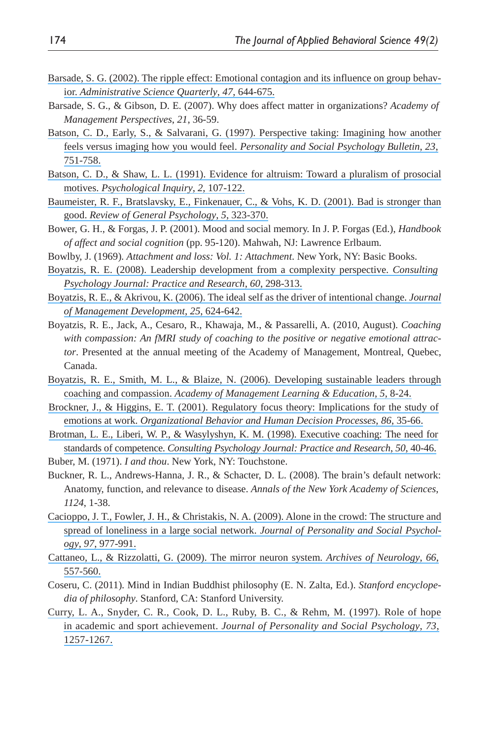- Barsade, S. G. (2002). The ripple effect: [Emotional](https://www.researchgate.net/publication/234073574_The_Ripple_Effect_Emotional_Contagion_and_Its_Influence_on_Group_Behavior?el=1_x_8&enrichId=rgreq-834125dfb8ecd028957b7866192e19dd-XXX&enrichSource=Y292ZXJQYWdlOzI1OTI5MDkxNDtBUzoxMDE4NDYzMjQ2MTMxMzlAMTQwMTI5MzQ2NDg0MA==) contagion and its influence on group behavior. *[Administrative Science Quarterly](https://www.researchgate.net/publication/234073574_The_Ripple_Effect_Emotional_Contagion_and_Its_Influence_on_Group_Behavior?el=1_x_8&enrichId=rgreq-834125dfb8ecd028957b7866192e19dd-XXX&enrichSource=Y292ZXJQYWdlOzI1OTI5MDkxNDtBUzoxMDE4NDYzMjQ2MTMxMzlAMTQwMTI5MzQ2NDg0MA==)*, *47*, 644-675.
- Barsade, S. G., & Gibson, D. E. (2007). Why does affect matter in organizations? *Academy of Management Perspectives*, *21*, 36-59.
- [Batson, C. D., Early, S., & Salvarani, G. \(1997\). Perspective taking: Imagining how another](https://www.researchgate.net/publication/247746451_Perspective_Taking_Imagining_How_Another_Feels_Versus_Imaging_How_You_Would_Feel?el=1_x_8&enrichId=rgreq-834125dfb8ecd028957b7866192e19dd-XXX&enrichSource=Y292ZXJQYWdlOzI1OTI5MDkxNDtBUzoxMDE4NDYzMjQ2MTMxMzlAMTQwMTI5MzQ2NDg0MA==)  feels versus imaging how you would feel. *Personality and Social [Psychology](https://www.researchgate.net/publication/247746451_Perspective_Taking_Imagining_How_Another_Feels_Versus_Imaging_How_You_Would_Feel?el=1_x_8&enrichId=rgreq-834125dfb8ecd028957b7866192e19dd-XXX&enrichSource=Y292ZXJQYWdlOzI1OTI5MDkxNDtBUzoxMDE4NDYzMjQ2MTMxMzlAMTQwMTI5MzQ2NDg0MA==) Bulletin*, *23*, [751-758.](https://www.researchgate.net/publication/247746451_Perspective_Taking_Imagining_How_Another_Feels_Versus_Imaging_How_You_Would_Feel?el=1_x_8&enrichId=rgreq-834125dfb8ecd028957b7866192e19dd-XXX&enrichSource=Y292ZXJQYWdlOzI1OTI5MDkxNDtBUzoxMDE4NDYzMjQ2MTMxMzlAMTQwMTI5MzQ2NDg0MA==)
- Batson, C. D., & Shaw, L. L. (1991). Evidence for [altruism: Toward](https://www.researchgate.net/publication/233159358_Evidence_for_Altruism_Toward_a_Pluralism_of_Prosocial_Motives?el=1_x_8&enrichId=rgreq-834125dfb8ecd028957b7866192e19dd-XXX&enrichSource=Y292ZXJQYWdlOzI1OTI5MDkxNDtBUzoxMDE4NDYzMjQ2MTMxMzlAMTQwMTI5MzQ2NDg0MA==) a pluralism of prosocial motives. *[Psychological Inquiry](https://www.researchgate.net/publication/233159358_Evidence_for_Altruism_Toward_a_Pluralism_of_Prosocial_Motives?el=1_x_8&enrichId=rgreq-834125dfb8ecd028957b7866192e19dd-XXX&enrichSource=Y292ZXJQYWdlOzI1OTI5MDkxNDtBUzoxMDE4NDYzMjQ2MTMxMzlAMTQwMTI5MzQ2NDg0MA==)*, *2*, 107-122.
- Baumeister, R. F., [Bratslavsky,](https://www.researchgate.net/publication/46608952_Bad_Is_Stronger_than_Good?el=1_x_8&enrichId=rgreq-834125dfb8ecd028957b7866192e19dd-XXX&enrichSource=Y292ZXJQYWdlOzI1OTI5MDkxNDtBUzoxMDE4NDYzMjQ2MTMxMzlAMTQwMTI5MzQ2NDg0MA==) E., Finkenauer, C., & Vohs, K. D. (2001). Bad is stronger than good. *[Review of General Psychology](https://www.researchgate.net/publication/46608952_Bad_Is_Stronger_than_Good?el=1_x_8&enrichId=rgreq-834125dfb8ecd028957b7866192e19dd-XXX&enrichSource=Y292ZXJQYWdlOzI1OTI5MDkxNDtBUzoxMDE4NDYzMjQ2MTMxMzlAMTQwMTI5MzQ2NDg0MA==)*, *5*, 323-370.
- Bower, G. H., & Forgas, J. P. (2001). Mood and social memory. In J. P. Forgas (Ed.), *Handbook of affect and social cognition* (pp. 95-120). Mahwah, NJ: Lawrence Erlbaum.
- Bowlby, J. (1969). *Attachment and loss: Vol. 1: Attachment*. New York, NY: Basic Books.
- Boyatzis, R. E. (2008). Leadership [development](https://www.researchgate.net/publication/232533537_Leadership_Development_from_a_Complexity_Perspective?el=1_x_8&enrichId=rgreq-834125dfb8ecd028957b7866192e19dd-XXX&enrichSource=Y292ZXJQYWdlOzI1OTI5MDkxNDtBUzoxMDE4NDYzMjQ2MTMxMzlAMTQwMTI5MzQ2NDg0MA==) from a complexity perspective. *Consulting [Psychology Journal: Practice and Research](https://www.researchgate.net/publication/232533537_Leadership_Development_from_a_Complexity_Perspective?el=1_x_8&enrichId=rgreq-834125dfb8ecd028957b7866192e19dd-XXX&enrichSource=Y292ZXJQYWdlOzI1OTI5MDkxNDtBUzoxMDE4NDYzMjQ2MTMxMzlAMTQwMTI5MzQ2NDg0MA==)*, *60*, 298-313.
- Boyatzis, R. E., & Akrivou, K. (2006). The ideal self as the driver of [intentional](https://www.researchgate.net/publication/242203714_The_ideal_self_as_the_driver_of_intentional_change?el=1_x_8&enrichId=rgreq-834125dfb8ecd028957b7866192e19dd-XXX&enrichSource=Y292ZXJQYWdlOzI1OTI5MDkxNDtBUzoxMDE4NDYzMjQ2MTMxMzlAMTQwMTI5MzQ2NDg0MA==) change. *Journal [of Management Development](https://www.researchgate.net/publication/242203714_The_ideal_self_as_the_driver_of_intentional_change?el=1_x_8&enrichId=rgreq-834125dfb8ecd028957b7866192e19dd-XXX&enrichSource=Y292ZXJQYWdlOzI1OTI5MDkxNDtBUzoxMDE4NDYzMjQ2MTMxMzlAMTQwMTI5MzQ2NDg0MA==)*, *25*, 624-642.
- Boyatzis, R. E., Jack, A., Cesaro, R., Khawaja, M., & Passarelli, A. (2010, August). *Coaching with compassion: An fMRI study of coaching to the positive or negative emotional attractor*. Presented at the annual meeting of the Academy of Management, Montreal, Quebec, Canada.
- [Boyatzis, R. E., Smith, M. L., & Blaize, N. \(2006\). Developing sustainable leaders through](https://www.researchgate.net/publication/228338572_Developing_Sustainable_Leaders_Through_Coaching_and_Compassion?el=1_x_8&enrichId=rgreq-834125dfb8ecd028957b7866192e19dd-XXX&enrichSource=Y292ZXJQYWdlOzI1OTI5MDkxNDtBUzoxMDE4NDYzMjQ2MTMxMzlAMTQwMTI5MzQ2NDg0MA==) coaching and compassion. *[Academy of Management Learning & Education](https://www.researchgate.net/publication/228338572_Developing_Sustainable_Leaders_Through_Coaching_and_Compassion?el=1_x_8&enrichId=rgreq-834125dfb8ecd028957b7866192e19dd-XXX&enrichSource=Y292ZXJQYWdlOzI1OTI5MDkxNDtBUzoxMDE4NDYzMjQ2MTMxMzlAMTQwMTI5MzQ2NDg0MA==)*, *5*, 8-24.
- Brockner, J., & Higgins, E. T. (2001). Regulatory focus theory: [Implications](https://www.researchgate.net/publication/4835339_Regulatory_Focus_Theory_Implications_for_the_Study_of_Emotions_at_Work?el=1_x_8&enrichId=rgreq-834125dfb8ecd028957b7866192e19dd-XXX&enrichSource=Y292ZXJQYWdlOzI1OTI5MDkxNDtBUzoxMDE4NDYzMjQ2MTMxMzlAMTQwMTI5MzQ2NDg0MA==) for the study of emotions at work. *[Organizational Behavior and Human Decision Processes](https://www.researchgate.net/publication/4835339_Regulatory_Focus_Theory_Implications_for_the_Study_of_Emotions_at_Work?el=1_x_8&enrichId=rgreq-834125dfb8ecd028957b7866192e19dd-XXX&enrichSource=Y292ZXJQYWdlOzI1OTI5MDkxNDtBUzoxMDE4NDYzMjQ2MTMxMzlAMTQwMTI5MzQ2NDg0MA==)*, *86*, 35-66.
- Brotman, L. E., Liberi, W. P., & [Wasylyshyn,](https://www.researchgate.net/publication/232531968_Executive_Coaching_The_Need_for_Standards_of_Competence?el=1_x_8&enrichId=rgreq-834125dfb8ecd028957b7866192e19dd-XXX&enrichSource=Y292ZXJQYWdlOzI1OTI5MDkxNDtBUzoxMDE4NDYzMjQ2MTMxMzlAMTQwMTI5MzQ2NDg0MA==) K. M. (1998). Executive coaching: The need for standards of [competence.](https://www.researchgate.net/publication/232531968_Executive_Coaching_The_Need_for_Standards_of_Competence?el=1_x_8&enrichId=rgreq-834125dfb8ecd028957b7866192e19dd-XXX&enrichSource=Y292ZXJQYWdlOzI1OTI5MDkxNDtBUzoxMDE4NDYzMjQ2MTMxMzlAMTQwMTI5MzQ2NDg0MA==) *Consulting Psychology Journal: Practice and Research*, *50*, 40-46.
- Buber, M. (1971). *I and thou*. New York, NY: Touchstone.
- Buckner, R. L., Andrews-Hanna, J. R., & Schacter, D. L. (2008). The brain's default network: Anatomy, function, and relevance to disease. *Annals of the New York Academy of Sciences*, *1124*, 1-38.
- Cacioppo, J. T., Fowler, J. H., & [Christakis,](https://www.researchgate.net/publication/40455331_Alone_in_the_Crowd_The_Structure_and_Spread_of_Loneliness_in_a_Large_Social_Network?el=1_x_8&enrichId=rgreq-834125dfb8ecd028957b7866192e19dd-XXX&enrichSource=Y292ZXJQYWdlOzI1OTI5MDkxNDtBUzoxMDE4NDYzMjQ2MTMxMzlAMTQwMTI5MzQ2NDg0MA==) N. A. (2009). Alone in the crowd: The structure and [spread of loneliness in a large social network.](https://www.researchgate.net/publication/40455331_Alone_in_the_Crowd_The_Structure_and_Spread_of_Loneliness_in_a_Large_Social_Network?el=1_x_8&enrichId=rgreq-834125dfb8ecd028957b7866192e19dd-XXX&enrichSource=Y292ZXJQYWdlOzI1OTI5MDkxNDtBUzoxMDE4NDYzMjQ2MTMxMzlAMTQwMTI5MzQ2NDg0MA==) *Journal of Personality and Social Psychology*, *97*[, 977-991.](https://www.researchgate.net/publication/40455331_Alone_in_the_Crowd_The_Structure_and_Spread_of_Loneliness_in_a_Large_Social_Network?el=1_x_8&enrichId=rgreq-834125dfb8ecd028957b7866192e19dd-XXX&enrichSource=Y292ZXJQYWdlOzI1OTI5MDkxNDtBUzoxMDE4NDYzMjQ2MTMxMzlAMTQwMTI5MzQ2NDg0MA==)
- Cattaneo, L., & Rizzolatti, G. (2009). The mirror neuron system. *Archives of [Neurology](https://www.researchgate.net/publication/24419151_The_Mirror_Neuron_System?el=1_x_8&enrichId=rgreq-834125dfb8ecd028957b7866192e19dd-XXX&enrichSource=Y292ZXJQYWdlOzI1OTI5MDkxNDtBUzoxMDE4NDYzMjQ2MTMxMzlAMTQwMTI5MzQ2NDg0MA==)*, *66*, [557-560.](https://www.researchgate.net/publication/24419151_The_Mirror_Neuron_System?el=1_x_8&enrichId=rgreq-834125dfb8ecd028957b7866192e19dd-XXX&enrichSource=Y292ZXJQYWdlOzI1OTI5MDkxNDtBUzoxMDE4NDYzMjQ2MTMxMzlAMTQwMTI5MzQ2NDg0MA==)
- Coseru, C. (2011). Mind in Indian Buddhist philosophy (E. N. Zalta, Ed.). *Stanford encyclopedia of philosophy*. Stanford, CA: Stanford University.
- Curry, L. A., [Snyder,](https://www.researchgate.net/publication/13812536_Role_of_hope_in_academic_and_sport_achievement?el=1_x_8&enrichId=rgreq-834125dfb8ecd028957b7866192e19dd-XXX&enrichSource=Y292ZXJQYWdlOzI1OTI5MDkxNDtBUzoxMDE4NDYzMjQ2MTMxMzlAMTQwMTI5MzQ2NDg0MA==) C. R., Cook, D. L., Ruby, B. C., & Rehm, M. (1997). Role of hope in academic and sport [achievement.](https://www.researchgate.net/publication/13812536_Role_of_hope_in_academic_and_sport_achievement?el=1_x_8&enrichId=rgreq-834125dfb8ecd028957b7866192e19dd-XXX&enrichSource=Y292ZXJQYWdlOzI1OTI5MDkxNDtBUzoxMDE4NDYzMjQ2MTMxMzlAMTQwMTI5MzQ2NDg0MA==) *Journal of Personality and Social Psychology*, *73*, [1257-1267.](https://www.researchgate.net/publication/13812536_Role_of_hope_in_academic_and_sport_achievement?el=1_x_8&enrichId=rgreq-834125dfb8ecd028957b7866192e19dd-XXX&enrichSource=Y292ZXJQYWdlOzI1OTI5MDkxNDtBUzoxMDE4NDYzMjQ2MTMxMzlAMTQwMTI5MzQ2NDg0MA==)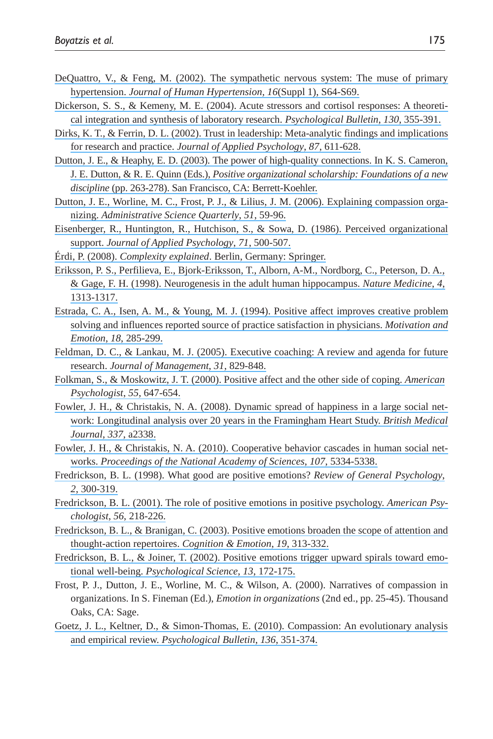- [DeQuattro, V.,](https://www.researchgate.net/publication/11382985_The_sympathetic_nervous_system_The_muse_of_primary_hypertension?el=1_x_8&enrichId=rgreq-834125dfb8ecd028957b7866192e19dd-XXX&enrichSource=Y292ZXJQYWdlOzI1OTI5MDkxNDtBUzoxMDE4NDYzMjQ2MTMxMzlAMTQwMTI5MzQ2NDg0MA==) & Feng, M. (2002). The sympathetic nervous system: The muse of primary hypertension. *[Journal of Human Hypertension, 16](https://www.researchgate.net/publication/11382985_The_sympathetic_nervous_system_The_muse_of_primary_hypertension?el=1_x_8&enrichId=rgreq-834125dfb8ecd028957b7866192e19dd-XXX&enrichSource=Y292ZXJQYWdlOzI1OTI5MDkxNDtBUzoxMDE4NDYzMjQ2MTMxMzlAMTQwMTI5MzQ2NDg0MA==)*(Suppl 1), S64-S69.
- [Dickerson,](https://www.researchgate.net/publication/8582418_Acute_Stressors_and_Cortisol_Responses_A_Theoretical_Integration_and_Synthesis_of_Laboratory_Research?el=1_x_8&enrichId=rgreq-834125dfb8ecd028957b7866192e19dd-XXX&enrichSource=Y292ZXJQYWdlOzI1OTI5MDkxNDtBUzoxMDE4NDYzMjQ2MTMxMzlAMTQwMTI5MzQ2NDg0MA==) S. S., & Kemeny, M. E. (2004). Acute stressors and cortisol responses: A theoreti[cal integration and synthesis of laboratory research.](https://www.researchgate.net/publication/8582418_Acute_Stressors_and_Cortisol_Responses_A_Theoretical_Integration_and_Synthesis_of_Laboratory_Research?el=1_x_8&enrichId=rgreq-834125dfb8ecd028957b7866192e19dd-XXX&enrichSource=Y292ZXJQYWdlOzI1OTI5MDkxNDtBUzoxMDE4NDYzMjQ2MTMxMzlAMTQwMTI5MzQ2NDg0MA==) *Psychological Bulletin*, *130*, 355-391.
- Dirks, K. T., & Ferrin, D. L. (2002). Trust in leadership: [Meta-analytic](https://www.researchgate.net/publication/11202113_Trust_in_Leadership_Meta-Analytic_Findings_and_Implications_for_Research_and_Practice?el=1_x_8&enrichId=rgreq-834125dfb8ecd028957b7866192e19dd-XXX&enrichSource=Y292ZXJQYWdlOzI1OTI5MDkxNDtBUzoxMDE4NDYzMjQ2MTMxMzlAMTQwMTI5MzQ2NDg0MA==) findings and implications [for research and practice.](https://www.researchgate.net/publication/11202113_Trust_in_Leadership_Meta-Analytic_Findings_and_Implications_for_Research_and_Practice?el=1_x_8&enrichId=rgreq-834125dfb8ecd028957b7866192e19dd-XXX&enrichSource=Y292ZXJQYWdlOzI1OTI5MDkxNDtBUzoxMDE4NDYzMjQ2MTMxMzlAMTQwMTI5MzQ2NDg0MA==) *Journal of Applied Psychology*, *87*, 611-628.
- Dutton, J. E., & Heaphy, E. D. (2003). The power of high-quality [connections.](https://www.researchgate.net/publication/262725459_The_Power_of_High_Quality_Connections?el=1_x_8&enrichId=rgreq-834125dfb8ecd028957b7866192e19dd-XXX&enrichSource=Y292ZXJQYWdlOzI1OTI5MDkxNDtBUzoxMDE4NDYzMjQ2MTMxMzlAMTQwMTI5MzQ2NDg0MA==) In K. S. Cameron, J. E. Dutton, & R. E. Quinn (Eds.), *Positive [organizational](https://www.researchgate.net/publication/262725459_The_Power_of_High_Quality_Connections?el=1_x_8&enrichId=rgreq-834125dfb8ecd028957b7866192e19dd-XXX&enrichSource=Y292ZXJQYWdlOzI1OTI5MDkxNDtBUzoxMDE4NDYzMjQ2MTMxMzlAMTQwMTI5MzQ2NDg0MA==) scholarship: Foundations of a new discipline* (pp. 263-278). San Francisco, CA: [Berrett-Koehler.](https://www.researchgate.net/publication/262725459_The_Power_of_High_Quality_Connections?el=1_x_8&enrichId=rgreq-834125dfb8ecd028957b7866192e19dd-XXX&enrichSource=Y292ZXJQYWdlOzI1OTI5MDkxNDtBUzoxMDE4NDYzMjQ2MTMxMzlAMTQwMTI5MzQ2NDg0MA==)
- Dutton, J. [E., Worline,](https://www.researchgate.net/publication/241644034_Explaining_Compassion_Organizing?el=1_x_8&enrichId=rgreq-834125dfb8ecd028957b7866192e19dd-XXX&enrichSource=Y292ZXJQYWdlOzI1OTI5MDkxNDtBUzoxMDE4NDYzMjQ2MTMxMzlAMTQwMTI5MzQ2NDg0MA==) M. C., Frost, P. J., & Lilius, J. M. (2006). Explaining compassion organizing. *[Administrative Science Quarterly](https://www.researchgate.net/publication/241644034_Explaining_Compassion_Organizing?el=1_x_8&enrichId=rgreq-834125dfb8ecd028957b7866192e19dd-XXX&enrichSource=Y292ZXJQYWdlOzI1OTI5MDkxNDtBUzoxMDE4NDYzMjQ2MTMxMzlAMTQwMTI5MzQ2NDg0MA==)*, *51*, 59-96.
- [Eisenberger, R., Huntington, R., Hutchison, S., & Sowa, D. \(1986\). Perceived organizational](https://www.researchgate.net/publication/254734637_Perceived_Organizational_Support?el=1_x_8&enrichId=rgreq-834125dfb8ecd028957b7866192e19dd-XXX&enrichSource=Y292ZXJQYWdlOzI1OTI5MDkxNDtBUzoxMDE4NDYzMjQ2MTMxMzlAMTQwMTI5MzQ2NDg0MA==)  support. *Journal of [Applied Psychology](https://www.researchgate.net/publication/254734637_Perceived_Organizational_Support?el=1_x_8&enrichId=rgreq-834125dfb8ecd028957b7866192e19dd-XXX&enrichSource=Y292ZXJQYWdlOzI1OTI5MDkxNDtBUzoxMDE4NDYzMjQ2MTMxMzlAMTQwMTI5MzQ2NDg0MA==)*, *71*, 500-507.
- Érdi, P. (2008). *Complexity explained*[. Berlin, Germany: Springer.](https://www.researchgate.net/publication/228108296_Complexity_Explained?el=1_x_8&enrichId=rgreq-834125dfb8ecd028957b7866192e19dd-XXX&enrichSource=Y292ZXJQYWdlOzI1OTI5MDkxNDtBUzoxMDE4NDYzMjQ2MTMxMzlAMTQwMTI5MzQ2NDg0MA==)
- Eriksson, P. S., Perfilieva, E., [Bjork-Eriksson,](https://www.researchgate.net/publication/13476119_Neurogenesis_in_the_Adult_Human_Hippocampus?el=1_x_8&enrichId=rgreq-834125dfb8ecd028957b7866192e19dd-XXX&enrichSource=Y292ZXJQYWdlOzI1OTI5MDkxNDtBUzoxMDE4NDYzMjQ2MTMxMzlAMTQwMTI5MzQ2NDg0MA==) T., Alborn, A-M., Nordborg, C., Peterson, D. A., & Gage, F. H. (1998). Neurogenesis in the adult human [hippocampus.](https://www.researchgate.net/publication/13476119_Neurogenesis_in_the_Adult_Human_Hippocampus?el=1_x_8&enrichId=rgreq-834125dfb8ecd028957b7866192e19dd-XXX&enrichSource=Y292ZXJQYWdlOzI1OTI5MDkxNDtBUzoxMDE4NDYzMjQ2MTMxMzlAMTQwMTI5MzQ2NDg0MA==) *Nature Medicine*, *4*, [1313-1317.](https://www.researchgate.net/publication/13476119_Neurogenesis_in_the_Adult_Human_Hippocampus?el=1_x_8&enrichId=rgreq-834125dfb8ecd028957b7866192e19dd-XXX&enrichSource=Y292ZXJQYWdlOzI1OTI5MDkxNDtBUzoxMDE4NDYzMjQ2MTMxMzlAMTQwMTI5MzQ2NDg0MA==)
- Estrada, C. A., Isen, A. M., & Young, M. J. (1994). Positive affect [improves](https://www.researchgate.net/publication/227335116_Positive_Affect_Improves_Creative_Problem_Solving_and_Influences_Reported_Source_of_Practice_Satisfaction_in_Physicians?el=1_x_8&enrichId=rgreq-834125dfb8ecd028957b7866192e19dd-XXX&enrichSource=Y292ZXJQYWdlOzI1OTI5MDkxNDtBUzoxMDE4NDYzMjQ2MTMxMzlAMTQwMTI5MzQ2NDg0MA==) creative problem solving and influences reported source of practice [satisfaction](https://www.researchgate.net/publication/227335116_Positive_Affect_Improves_Creative_Problem_Solving_and_Influences_Reported_Source_of_Practice_Satisfaction_in_Physicians?el=1_x_8&enrichId=rgreq-834125dfb8ecd028957b7866192e19dd-XXX&enrichSource=Y292ZXJQYWdlOzI1OTI5MDkxNDtBUzoxMDE4NDYzMjQ2MTMxMzlAMTQwMTI5MzQ2NDg0MA==) in physicians. *Motivation and Emotion*, *18*[, 285-299.](https://www.researchgate.net/publication/227335116_Positive_Affect_Improves_Creative_Problem_Solving_and_Influences_Reported_Source_of_Practice_Satisfaction_in_Physicians?el=1_x_8&enrichId=rgreq-834125dfb8ecd028957b7866192e19dd-XXX&enrichSource=Y292ZXJQYWdlOzI1OTI5MDkxNDtBUzoxMDE4NDYzMjQ2MTMxMzlAMTQwMTI5MzQ2NDg0MA==)
- Feldman, D. C., & Lankau, M. J. (2005). [Executive](https://www.researchgate.net/publication/228378176_Executive_Coaching_A_Review_and_Agenda_for_Future_Research?el=1_x_8&enrichId=rgreq-834125dfb8ecd028957b7866192e19dd-XXX&enrichSource=Y292ZXJQYWdlOzI1OTI5MDkxNDtBUzoxMDE4NDYzMjQ2MTMxMzlAMTQwMTI5MzQ2NDg0MA==) coaching: A review and agenda for future research. *[Journal of Management](https://www.researchgate.net/publication/228378176_Executive_Coaching_A_Review_and_Agenda_for_Future_Research?el=1_x_8&enrichId=rgreq-834125dfb8ecd028957b7866192e19dd-XXX&enrichSource=Y292ZXJQYWdlOzI1OTI5MDkxNDtBUzoxMDE4NDYzMjQ2MTMxMzlAMTQwMTI5MzQ2NDg0MA==)*, *31*, 829-848.
- Folkman, S., & Moskowitz, J. [T. \(2000\). Positive affect and the other side of coping.](https://www.researchgate.net/publication/12427377_Positive_Affect_and_the_Other_Side_of_Coping?el=1_x_8&enrichId=rgreq-834125dfb8ecd028957b7866192e19dd-XXX&enrichSource=Y292ZXJQYWdlOzI1OTI5MDkxNDtBUzoxMDE4NDYzMjQ2MTMxMzlAMTQwMTI5MzQ2NDg0MA==) *American [Psychologist](https://www.researchgate.net/publication/12427377_Positive_Affect_and_the_Other_Side_of_Coping?el=1_x_8&enrichId=rgreq-834125dfb8ecd028957b7866192e19dd-XXX&enrichSource=Y292ZXJQYWdlOzI1OTI5MDkxNDtBUzoxMDE4NDYzMjQ2MTMxMzlAMTQwMTI5MzQ2NDg0MA==)*, *55*, 647-654.
- Fowler, J. H., & [Christakis,](https://www.researchgate.net/publication/23571732_Dynamic_Spread_of_Happiness_in_a_Large_Social_Network_Longitudinal_Analysis_Over_20_Years_in_the_Framingham_Heart_Study?el=1_x_8&enrichId=rgreq-834125dfb8ecd028957b7866192e19dd-XXX&enrichSource=Y292ZXJQYWdlOzI1OTI5MDkxNDtBUzoxMDE4NDYzMjQ2MTMxMzlAMTQwMTI5MzQ2NDg0MA==) N. A. (2008). Dynamic spread of happiness in a large social net[work: Longitudinal analysis over 20 years in the Framingham Heart Study.](https://www.researchgate.net/publication/23571732_Dynamic_Spread_of_Happiness_in_a_Large_Social_Network_Longitudinal_Analysis_Over_20_Years_in_the_Framingham_Heart_Study?el=1_x_8&enrichId=rgreq-834125dfb8ecd028957b7866192e19dd-XXX&enrichSource=Y292ZXJQYWdlOzI1OTI5MDkxNDtBUzoxMDE4NDYzMjQ2MTMxMzlAMTQwMTI5MzQ2NDg0MA==) *British Medical Journal*, *337*[, a2338.](https://www.researchgate.net/publication/23571732_Dynamic_Spread_of_Happiness_in_a_Large_Social_Network_Longitudinal_Analysis_Over_20_Years_in_the_Framingham_Heart_Study?el=1_x_8&enrichId=rgreq-834125dfb8ecd028957b7866192e19dd-XXX&enrichSource=Y292ZXJQYWdlOzI1OTI5MDkxNDtBUzoxMDE4NDYzMjQ2MTMxMzlAMTQwMTI5MzQ2NDg0MA==)
- Fowler, J. H., & Christakis, N. A. (2010). [Cooperative](https://www.researchgate.net/publication/41825499_1_Cooperative_Behavior_Cascades_in_Human_Social_Networks?el=1_x_8&enrichId=rgreq-834125dfb8ecd028957b7866192e19dd-XXX&enrichSource=Y292ZXJQYWdlOzI1OTI5MDkxNDtBUzoxMDE4NDYzMjQ2MTMxMzlAMTQwMTI5MzQ2NDg0MA==) behavior cascades in human social networks. *[Proceedings of the National](https://www.researchgate.net/publication/41825499_1_Cooperative_Behavior_Cascades_in_Human_Social_Networks?el=1_x_8&enrichId=rgreq-834125dfb8ecd028957b7866192e19dd-XXX&enrichSource=Y292ZXJQYWdlOzI1OTI5MDkxNDtBUzoxMDE4NDYzMjQ2MTMxMzlAMTQwMTI5MzQ2NDg0MA==) Academy of Sciences*, *107*, 5334-5338.
- [Fredrickson,](https://www.researchgate.net/publication/51579395_What_Good_Are_Positive_Emotions?el=1_x_8&enrichId=rgreq-834125dfb8ecd028957b7866192e19dd-XXX&enrichSource=Y292ZXJQYWdlOzI1OTI5MDkxNDtBUzoxMDE4NDYzMjQ2MTMxMzlAMTQwMTI5MzQ2NDg0MA==) B. L. (1998). What good are positive emotions? *Review of General Psychology*, *2*[, 300-319.](https://www.researchgate.net/publication/51579395_What_Good_Are_Positive_Emotions?el=1_x_8&enrichId=rgreq-834125dfb8ecd028957b7866192e19dd-XXX&enrichSource=Y292ZXJQYWdlOzI1OTI5MDkxNDtBUzoxMDE4NDYzMjQ2MTMxMzlAMTQwMTI5MzQ2NDg0MA==)
- [Fredrickson,](https://www.researchgate.net/publication/272078884_The_Role_of_Positive_Emotions_in_Positive_Psychology?el=1_x_8&enrichId=rgreq-834125dfb8ecd028957b7866192e19dd-XXX&enrichSource=Y292ZXJQYWdlOzI1OTI5MDkxNDtBUzoxMDE4NDYzMjQ2MTMxMzlAMTQwMTI5MzQ2NDg0MA==) B. L. (2001). The role of positive emotions in positive psychology. *American Psychologist*, *56*[, 218-226.](https://www.researchgate.net/publication/272078884_The_Role_of_Positive_Emotions_in_Positive_Psychology?el=1_x_8&enrichId=rgreq-834125dfb8ecd028957b7866192e19dd-XXX&enrichSource=Y292ZXJQYWdlOzI1OTI5MDkxNDtBUzoxMDE4NDYzMjQ2MTMxMzlAMTQwMTI5MzQ2NDg0MA==)
- [Fredrickson,](https://www.researchgate.net/publication/51582010_Positive_Emotions_Broaden_the_Scope_of_Attention_and_Thought-action_Repertoires?el=1_x_8&enrichId=rgreq-834125dfb8ecd028957b7866192e19dd-XXX&enrichSource=Y292ZXJQYWdlOzI1OTI5MDkxNDtBUzoxMDE4NDYzMjQ2MTMxMzlAMTQwMTI5MzQ2NDg0MA==) B. L., & Branigan, C. (2003). Positive emotions broaden the scope of attention and [thought-action repertoires.](https://www.researchgate.net/publication/51582010_Positive_Emotions_Broaden_the_Scope_of_Attention_and_Thought-action_Repertoires?el=1_x_8&enrichId=rgreq-834125dfb8ecd028957b7866192e19dd-XXX&enrichSource=Y292ZXJQYWdlOzI1OTI5MDkxNDtBUzoxMDE4NDYzMjQ2MTMxMzlAMTQwMTI5MzQ2NDg0MA==) *Cognition & Emotion*, *19*, 313-332.
- [Fredrickson,](https://www.researchgate.net/publication/11431735_Positive_Emotions_Trigger_Upward_Spirals_Toward_Emotional_Well-Being?el=1_x_8&enrichId=rgreq-834125dfb8ecd028957b7866192e19dd-XXX&enrichSource=Y292ZXJQYWdlOzI1OTI5MDkxNDtBUzoxMDE4NDYzMjQ2MTMxMzlAMTQwMTI5MzQ2NDg0MA==) B. L., & Joiner, T. (2002). Positive emotions trigger upward spirals toward emotional well-being. *[Psychological Science](https://www.researchgate.net/publication/11431735_Positive_Emotions_Trigger_Upward_Spirals_Toward_Emotional_Well-Being?el=1_x_8&enrichId=rgreq-834125dfb8ecd028957b7866192e19dd-XXX&enrichSource=Y292ZXJQYWdlOzI1OTI5MDkxNDtBUzoxMDE4NDYzMjQ2MTMxMzlAMTQwMTI5MzQ2NDg0MA==)*, *13*, 172-175.
- Frost, P. J., Dutton, J. E., Worline, M. C., & Wilson, A. (2000). Narratives of compassion in organizations. In S. Fineman (Ed.), *Emotion in organizations* (2nd ed., pp. 25-45). Thousand Oaks, CA: Sage.
- Goetz, J. L., Keltner, D., & [Simon-Thomas,](https://www.researchgate.net/publication/44569135_Compassion_An_Evolutionary_Analysis_and_Empirical_Review?el=1_x_8&enrichId=rgreq-834125dfb8ecd028957b7866192e19dd-XXX&enrichSource=Y292ZXJQYWdlOzI1OTI5MDkxNDtBUzoxMDE4NDYzMjQ2MTMxMzlAMTQwMTI5MzQ2NDg0MA==) E. (2010). Compassion: An evolutionary analysis and empirical review. *[Psychological Bulletin](https://www.researchgate.net/publication/44569135_Compassion_An_Evolutionary_Analysis_and_Empirical_Review?el=1_x_8&enrichId=rgreq-834125dfb8ecd028957b7866192e19dd-XXX&enrichSource=Y292ZXJQYWdlOzI1OTI5MDkxNDtBUzoxMDE4NDYzMjQ2MTMxMzlAMTQwMTI5MzQ2NDg0MA==)*, *136*, 351-374.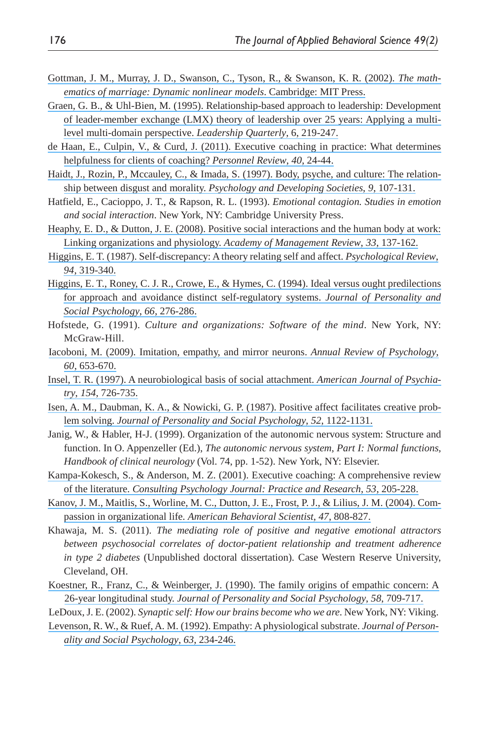- Gottman, J. M., Murray, J. D., Swanson, [C., Tyson,](https://www.researchgate.net/publication/232424148_The_Mathematics_of_Marriage_Dynamic_Nonlinear_Models?el=1_x_8&enrichId=rgreq-834125dfb8ecd028957b7866192e19dd-XXX&enrichSource=Y292ZXJQYWdlOzI1OTI5MDkxNDtBUzoxMDE4NDYzMjQ2MTMxMzlAMTQwMTI5MzQ2NDg0MA==) R., & Swanson, K. R. (2002). *The math[ematics of marriage: Dynamic nonlinear models](https://www.researchgate.net/publication/232424148_The_Mathematics_of_Marriage_Dynamic_Nonlinear_Models?el=1_x_8&enrichId=rgreq-834125dfb8ecd028957b7866192e19dd-XXX&enrichSource=Y292ZXJQYWdlOzI1OTI5MDkxNDtBUzoxMDE4NDYzMjQ2MTMxMzlAMTQwMTI5MzQ2NDg0MA==)*. Cambridge: MIT Press.
- Graen, G. B., & Uhl-Bien, M. (1995). [Relationship-based](https://www.researchgate.net/publication/222734345_Relationship-Based_Approach_to_Leadership_Development_of_Leader-Member_Exchange_LMX_Theory_of_Leadership_over_25_Years_Applying_a_Multi-Level_Multi-Domain_Perspective?el=1_x_8&enrichId=rgreq-834125dfb8ecd028957b7866192e19dd-XXX&enrichSource=Y292ZXJQYWdlOzI1OTI5MDkxNDtBUzoxMDE4NDYzMjQ2MTMxMzlAMTQwMTI5MzQ2NDg0MA==) approach to leadership: Development of leader-member exchange (LMX) theory of leadership over 25 [years: Applying](https://www.researchgate.net/publication/222734345_Relationship-Based_Approach_to_Leadership_Development_of_Leader-Member_Exchange_LMX_Theory_of_Leadership_over_25_Years_Applying_a_Multi-Level_Multi-Domain_Perspective?el=1_x_8&enrichId=rgreq-834125dfb8ecd028957b7866192e19dd-XXX&enrichSource=Y292ZXJQYWdlOzI1OTI5MDkxNDtBUzoxMDE4NDYzMjQ2MTMxMzlAMTQwMTI5MzQ2NDg0MA==) a multi[level multi-domain perspective.](https://www.researchgate.net/publication/222734345_Relationship-Based_Approach_to_Leadership_Development_of_Leader-Member_Exchange_LMX_Theory_of_Leadership_over_25_Years_Applying_a_Multi-Level_Multi-Domain_Perspective?el=1_x_8&enrichId=rgreq-834125dfb8ecd028957b7866192e19dd-XXX&enrichSource=Y292ZXJQYWdlOzI1OTI5MDkxNDtBUzoxMDE4NDYzMjQ2MTMxMzlAMTQwMTI5MzQ2NDg0MA==) *Leadership Quarterly*, 6, 219-247.
- de Haan, E., Culpin, V., & Curd, J. (2011). Executive coaching in [practice: What](https://www.researchgate.net/publication/242342653_Executive_coaching_in_practice_What_determines_helpfulness_for_clients_of_coaching?el=1_x_8&enrichId=rgreq-834125dfb8ecd028957b7866192e19dd-XXX&enrichSource=Y292ZXJQYWdlOzI1OTI5MDkxNDtBUzoxMDE4NDYzMjQ2MTMxMzlAMTQwMTI5MzQ2NDg0MA==) determines [helpfulness for clients of coaching?](https://www.researchgate.net/publication/242342653_Executive_coaching_in_practice_What_determines_helpfulness_for_clients_of_coaching?el=1_x_8&enrichId=rgreq-834125dfb8ecd028957b7866192e19dd-XXX&enrichSource=Y292ZXJQYWdlOzI1OTI5MDkxNDtBUzoxMDE4NDYzMjQ2MTMxMzlAMTQwMTI5MzQ2NDg0MA==) *Personnel Review*, *40*, 24-44.
- Haidt, J., Rozin, P., [Mccauley,](https://www.researchgate.net/publication/238336116_Body_Psyche_and_Culture_The_Relationship_Between_Disgust_and_Morality?el=1_x_8&enrichId=rgreq-834125dfb8ecd028957b7866192e19dd-XXX&enrichSource=Y292ZXJQYWdlOzI1OTI5MDkxNDtBUzoxMDE4NDYzMjQ2MTMxMzlAMTQwMTI5MzQ2NDg0MA==) C., & Imada, S. (1997). Body, psyche, and culture: The relationship between disgust and morality. *[Psychology and Developing Societies](https://www.researchgate.net/publication/238336116_Body_Psyche_and_Culture_The_Relationship_Between_Disgust_and_Morality?el=1_x_8&enrichId=rgreq-834125dfb8ecd028957b7866192e19dd-XXX&enrichSource=Y292ZXJQYWdlOzI1OTI5MDkxNDtBUzoxMDE4NDYzMjQ2MTMxMzlAMTQwMTI5MzQ2NDg0MA==)*, *9*, 107-131.
- Hatfield, E., Cacioppo, J. T., & Rapson, R. L. (1993). *Emotional contagion. Studies in emotion and social interaction*. New York, NY: Cambridge University Press.
- Heaphy, E. D., & Dutton, J. E. (2008). Positive social [interactions](https://www.researchgate.net/publication/278914096_Positive_Social_Interactions_and_the_Human_Body_at_Work_Linking_Organizations_and_Physiology?el=1_x_8&enrichId=rgreq-834125dfb8ecd028957b7866192e19dd-XXX&enrichSource=Y292ZXJQYWdlOzI1OTI5MDkxNDtBUzoxMDE4NDYzMjQ2MTMxMzlAMTQwMTI5MzQ2NDg0MA==) and the human body at work: [Linking organizations and physiology.](https://www.researchgate.net/publication/278914096_Positive_Social_Interactions_and_the_Human_Body_at_Work_Linking_Organizations_and_Physiology?el=1_x_8&enrichId=rgreq-834125dfb8ecd028957b7866192e19dd-XXX&enrichSource=Y292ZXJQYWdlOzI1OTI5MDkxNDtBUzoxMDE4NDYzMjQ2MTMxMzlAMTQwMTI5MzQ2NDg0MA==) *Academy of Management Review*, *33*, 137-162.
- Higgins, E. T. (1987). [Self-discrepancy:](https://www.researchgate.net/publication/19545638_Self-Discrepancy_A_Theory_Relating_Self_and_Affect?el=1_x_8&enrichId=rgreq-834125dfb8ecd028957b7866192e19dd-XXX&enrichSource=Y292ZXJQYWdlOzI1OTI5MDkxNDtBUzoxMDE4NDYzMjQ2MTMxMzlAMTQwMTI5MzQ2NDg0MA==) A theory relating self and affect. *Psychological Review*, *94*[, 319-340.](https://www.researchgate.net/publication/19545638_Self-Discrepancy_A_Theory_Relating_Self_and_Affect?el=1_x_8&enrichId=rgreq-834125dfb8ecd028957b7866192e19dd-XXX&enrichSource=Y292ZXJQYWdlOzI1OTI5MDkxNDtBUzoxMDE4NDYzMjQ2MTMxMzlAMTQwMTI5MzQ2NDg0MA==)
- Higgins, E. T., Roney, C. J. R., Crowe, E., & Hymes, C. (1994). Ideal versus ought [predilections](https://www.researchgate.net/publication/15003252_Ideal_Versus_Ought_Predilections_for_Approach_and_Avoidance_Distinct_Self-Regulatory_Systems?el=1_x_8&enrichId=rgreq-834125dfb8ecd028957b7866192e19dd-XXX&enrichSource=Y292ZXJQYWdlOzI1OTI5MDkxNDtBUzoxMDE4NDYzMjQ2MTMxMzlAMTQwMTI5MzQ2NDg0MA==)  for approach and avoidance distinct [self-regulatory](https://www.researchgate.net/publication/15003252_Ideal_Versus_Ought_Predilections_for_Approach_and_Avoidance_Distinct_Self-Regulatory_Systems?el=1_x_8&enrichId=rgreq-834125dfb8ecd028957b7866192e19dd-XXX&enrichSource=Y292ZXJQYWdlOzI1OTI5MDkxNDtBUzoxMDE4NDYzMjQ2MTMxMzlAMTQwMTI5MzQ2NDg0MA==) systems. *Journal of Personality and [Social Psychology](https://www.researchgate.net/publication/15003252_Ideal_Versus_Ought_Predilections_for_Approach_and_Avoidance_Distinct_Self-Regulatory_Systems?el=1_x_8&enrichId=rgreq-834125dfb8ecd028957b7866192e19dd-XXX&enrichSource=Y292ZXJQYWdlOzI1OTI5MDkxNDtBUzoxMDE4NDYzMjQ2MTMxMzlAMTQwMTI5MzQ2NDg0MA==)*, *66*, 276-286.
- Hofstede, G. (1991). *Culture and organizations: Software of the mind*. New York, NY: McGraw-Hill.
- Iacoboni, M. (2009). Imitation, empathy, and mirror neurons. *Annual Review of [Psychology](https://www.researchgate.net/publication/23257667_Imitation_Empathy_and_Mirror_Neurons?el=1_x_8&enrichId=rgreq-834125dfb8ecd028957b7866192e19dd-XXX&enrichSource=Y292ZXJQYWdlOzI1OTI5MDkxNDtBUzoxMDE4NDYzMjQ2MTMxMzlAMTQwMTI5MzQ2NDg0MA==)*, *60*[, 653-670.](https://www.researchgate.net/publication/23257667_Imitation_Empathy_and_Mirror_Neurons?el=1_x_8&enrichId=rgreq-834125dfb8ecd028957b7866192e19dd-XXX&enrichSource=Y292ZXJQYWdlOzI1OTI5MDkxNDtBUzoxMDE4NDYzMjQ2MTMxMzlAMTQwMTI5MzQ2NDg0MA==)
- Insel, T. R. (1997). A [neurobiological basis of social attachment.](https://www.researchgate.net/publication/14050218_A_Neurobiological_Basis_of_Social_Attachment?el=1_x_8&enrichId=rgreq-834125dfb8ecd028957b7866192e19dd-XXX&enrichSource=Y292ZXJQYWdlOzI1OTI5MDkxNDtBUzoxMDE4NDYzMjQ2MTMxMzlAMTQwMTI5MzQ2NDg0MA==) *American Journal of Psychiatry*, *154*[, 726-735.](https://www.researchgate.net/publication/14050218_A_Neurobiological_Basis_of_Social_Attachment?el=1_x_8&enrichId=rgreq-834125dfb8ecd028957b7866192e19dd-XXX&enrichSource=Y292ZXJQYWdlOzI1OTI5MDkxNDtBUzoxMDE4NDYzMjQ2MTMxMzlAMTQwMTI5MzQ2NDg0MA==)
- Isen, A. M., Daubman, K. [A., & Nowicki, G. P. \(1987\). Positive affect facilitates creative prob](https://www.researchgate.net/publication/19562789_Positive_Affect_Facilitates_Creative_Problem_Solving?el=1_x_8&enrichId=rgreq-834125dfb8ecd028957b7866192e19dd-XXX&enrichSource=Y292ZXJQYWdlOzI1OTI5MDkxNDtBUzoxMDE4NDYzMjQ2MTMxMzlAMTQwMTI5MzQ2NDg0MA==)lem solving. *[Journal of Personality and Social Psychology](https://www.researchgate.net/publication/19562789_Positive_Affect_Facilitates_Creative_Problem_Solving?el=1_x_8&enrichId=rgreq-834125dfb8ecd028957b7866192e19dd-XXX&enrichSource=Y292ZXJQYWdlOzI1OTI5MDkxNDtBUzoxMDE4NDYzMjQ2MTMxMzlAMTQwMTI5MzQ2NDg0MA==)*, *52*, 1122-1131.
- Janig, W., & Habler, H-J. (1999). Organization of the autonomic nervous system: Structure and function. In O. Appenzeller (Ed.), *The autonomic nervous system, Part I: Normal functions, Handbook of clinical neurology* (Vol. 74, pp. 1-52). New York, NY: Elsevier.
- [Kampa-Kokesch,](https://www.researchgate.net/publication/232521188_Executive_Coaching_A_Comprehensive_Review_of_the_Literature?el=1_x_8&enrichId=rgreq-834125dfb8ecd028957b7866192e19dd-XXX&enrichSource=Y292ZXJQYWdlOzI1OTI5MDkxNDtBUzoxMDE4NDYzMjQ2MTMxMzlAMTQwMTI5MzQ2NDg0MA==) S., & Anderson, M. Z. (2001). Executive coaching: A comprehensive review of the literature. *[Consulting Psychology Journal: Practice and Research](https://www.researchgate.net/publication/232521188_Executive_Coaching_A_Comprehensive_Review_of_the_Literature?el=1_x_8&enrichId=rgreq-834125dfb8ecd028957b7866192e19dd-XXX&enrichSource=Y292ZXJQYWdlOzI1OTI5MDkxNDtBUzoxMDE4NDYzMjQ2MTMxMzlAMTQwMTI5MzQ2NDg0MA==)*, *53*, 205-228.
- Kanov, J. M., Maitlis, S., [Worline,](https://www.researchgate.net/publication/242573666_Compassion_in_Organizational_Life?el=1_x_8&enrichId=rgreq-834125dfb8ecd028957b7866192e19dd-XXX&enrichSource=Y292ZXJQYWdlOzI1OTI5MDkxNDtBUzoxMDE4NDYzMjQ2MTMxMzlAMTQwMTI5MzQ2NDg0MA==) M. C., Dutton, J. E., Frost, P. J., & Lilius, J. M. (2004). Compassion in organizational life. *[American Behavioral Scientist](https://www.researchgate.net/publication/242573666_Compassion_in_Organizational_Life?el=1_x_8&enrichId=rgreq-834125dfb8ecd028957b7866192e19dd-XXX&enrichSource=Y292ZXJQYWdlOzI1OTI5MDkxNDtBUzoxMDE4NDYzMjQ2MTMxMzlAMTQwMTI5MzQ2NDg0MA==)*, *47*, 808-827.
- Khawaja, M. S. (2011). *The mediating role of positive and negative emotional attractors between psychosocial correlates of doctor-patient relationship and treatment adherence in type 2 diabetes* (Unpublished doctoral dissertation). Case Western Reserve University, Cleveland, OH.
- Koestner, R., Franz, C., & [Weinberger,](https://www.researchgate.net/publication/20808454_The_Family_Origins_of_Empathic_Concern_A_26-Year_Longitudinal_Study?el=1_x_8&enrichId=rgreq-834125dfb8ecd028957b7866192e19dd-XXX&enrichSource=Y292ZXJQYWdlOzI1OTI5MDkxNDtBUzoxMDE4NDYzMjQ2MTMxMzlAMTQwMTI5MzQ2NDg0MA==) J. (1990). The family origins of empathic concern: A 26-year longitudinal study. *[Journal of Personality and Social Psychology](https://www.researchgate.net/publication/20808454_The_Family_Origins_of_Empathic_Concern_A_26-Year_Longitudinal_Study?el=1_x_8&enrichId=rgreq-834125dfb8ecd028957b7866192e19dd-XXX&enrichSource=Y292ZXJQYWdlOzI1OTI5MDkxNDtBUzoxMDE4NDYzMjQ2MTMxMzlAMTQwMTI5MzQ2NDg0MA==)*, *58*, 709-717.
- LeDoux,J. E. (2002). *Synaptic self: How our brains become who we are*. New York, NY: Viking.
- Levenson, R. W., & Ruef, A. M. (1992). Empathy: A [physiological](https://www.researchgate.net/publication/21751329_Empathy_A_Physiological_Substrate?el=1_x_8&enrichId=rgreq-834125dfb8ecd028957b7866192e19dd-XXX&enrichSource=Y292ZXJQYWdlOzI1OTI5MDkxNDtBUzoxMDE4NDYzMjQ2MTMxMzlAMTQwMTI5MzQ2NDg0MA==) substrate. *Journal of Person[ality and Social Psychology](https://www.researchgate.net/publication/21751329_Empathy_A_Physiological_Substrate?el=1_x_8&enrichId=rgreq-834125dfb8ecd028957b7866192e19dd-XXX&enrichSource=Y292ZXJQYWdlOzI1OTI5MDkxNDtBUzoxMDE4NDYzMjQ2MTMxMzlAMTQwMTI5MzQ2NDg0MA==)*, *63*, 234-246.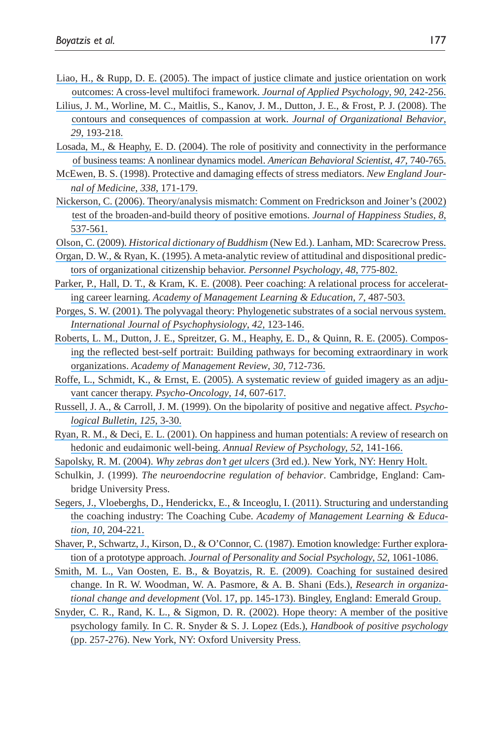- Liao, H., & Rupp, D. E. (2005). The impact of justice climate and justice [orientation](https://www.researchgate.net/publication/7966103_The_Impact_of_Justice_Climate_and_Justice_Orientation_on_Work_Outcomes_A_Cross-Level_Multifoci_Framework?el=1_x_8&enrichId=rgreq-834125dfb8ecd028957b7866192e19dd-XXX&enrichSource=Y292ZXJQYWdlOzI1OTI5MDkxNDtBUzoxMDE4NDYzMjQ2MTMxMzlAMTQwMTI5MzQ2NDg0MA==) on work outcomes: A cross-level multifoci [framework.](https://www.researchgate.net/publication/7966103_The_Impact_of_Justice_Climate_and_Justice_Orientation_on_Work_Outcomes_A_Cross-Level_Multifoci_Framework?el=1_x_8&enrichId=rgreq-834125dfb8ecd028957b7866192e19dd-XXX&enrichSource=Y292ZXJQYWdlOzI1OTI5MDkxNDtBUzoxMDE4NDYzMjQ2MTMxMzlAMTQwMTI5MzQ2NDg0MA==) *Journal of Applied Psychology*, *90*, 242-256.
- Lilius, J. M., [Worline,](https://www.researchgate.net/publication/30858626_The_Contours_and_Consequences_of_Compassion_at_Work?el=1_x_8&enrichId=rgreq-834125dfb8ecd028957b7866192e19dd-XXX&enrichSource=Y292ZXJQYWdlOzI1OTI5MDkxNDtBUzoxMDE4NDYzMjQ2MTMxMzlAMTQwMTI5MzQ2NDg0MA==) M. C., Maitlis, S., Kanov, J. M., Dutton, J. E., & Frost, P. J. (2008). The contours and consequences of compassion at work. *Journal of [Organizational](https://www.researchgate.net/publication/30858626_The_Contours_and_Consequences_of_Compassion_at_Work?el=1_x_8&enrichId=rgreq-834125dfb8ecd028957b7866192e19dd-XXX&enrichSource=Y292ZXJQYWdlOzI1OTI5MDkxNDtBUzoxMDE4NDYzMjQ2MTMxMzlAMTQwMTI5MzQ2NDg0MA==) Behavior*, *29*[, 193-218.](https://www.researchgate.net/publication/30858626_The_Contours_and_Consequences_of_Compassion_at_Work?el=1_x_8&enrichId=rgreq-834125dfb8ecd028957b7866192e19dd-XXX&enrichSource=Y292ZXJQYWdlOzI1OTI5MDkxNDtBUzoxMDE4NDYzMjQ2MTMxMzlAMTQwMTI5MzQ2NDg0MA==)
- Losada, M., & Heaphy, E. D. (2004). The role of positivity and connectivity in the [performance](https://www.researchgate.net/publication/247752186_The_Role_of_Positivity_and_Connectivity_in_the_Performance_of_Business_TeamsA_Nonlinear_Dynamics_Model?el=1_x_8&enrichId=rgreq-834125dfb8ecd028957b7866192e19dd-XXX&enrichSource=Y292ZXJQYWdlOzI1OTI5MDkxNDtBUzoxMDE4NDYzMjQ2MTMxMzlAMTQwMTI5MzQ2NDg0MA==)  of business teams: A nonlinear dynamics model. *American [Behavioral](https://www.researchgate.net/publication/247752186_The_Role_of_Positivity_and_Connectivity_in_the_Performance_of_Business_TeamsA_Nonlinear_Dynamics_Model?el=1_x_8&enrichId=rgreq-834125dfb8ecd028957b7866192e19dd-XXX&enrichSource=Y292ZXJQYWdlOzI1OTI5MDkxNDtBUzoxMDE4NDYzMjQ2MTMxMzlAMTQwMTI5MzQ2NDg0MA==) Scientist*, *47*, 740-765.
- McEwen, B. S. (1998). Protective and damaging effects of stress [mediators.](https://www.researchgate.net/publication/281317410_Protective_and_Damaging_Effects_of_Stress_Mediators?el=1_x_8&enrichId=rgreq-834125dfb8ecd028957b7866192e19dd-XXX&enrichSource=Y292ZXJQYWdlOzI1OTI5MDkxNDtBUzoxMDE4NDYzMjQ2MTMxMzlAMTQwMTI5MzQ2NDg0MA==) *New England Jour[nal of Medicine](https://www.researchgate.net/publication/281317410_Protective_and_Damaging_Effects_of_Stress_Mediators?el=1_x_8&enrichId=rgreq-834125dfb8ecd028957b7866192e19dd-XXX&enrichSource=Y292ZXJQYWdlOzI1OTI5MDkxNDtBUzoxMDE4NDYzMjQ2MTMxMzlAMTQwMTI5MzQ2NDg0MA==)*, *338*, 171-179.
- Nickerson, C. (2006). [Theory/analysis](https://www.researchgate.net/publication/285936950_Theoryanalysis_mismatch_Comment_on_Fredrickson_and_Joiner) mismatch: Comment on Fredrickson and Joiner's (2002) test of the [broaden-and-build](https://www.researchgate.net/publication/285936950_Theoryanalysis_mismatch_Comment_on_Fredrickson_and_Joiner) theory of positive emotions. *Journal of Happiness Studies*, *8*, [537-561.](https://www.researchgate.net/publication/285936950_Theoryanalysis_mismatch_Comment_on_Fredrickson_and_Joiner)
- Olson, C. (2009). *Historical dictionary of Buddhism* (New Ed.). Lanham, MD: [Scarecrow](https://www.researchgate.net/publication/284439419_Historical_Dictionary_of_Buddhism?el=1_x_8&enrichId=rgreq-834125dfb8ecd028957b7866192e19dd-XXX&enrichSource=Y292ZXJQYWdlOzI1OTI5MDkxNDtBUzoxMDE4NDYzMjQ2MTMxMzlAMTQwMTI5MzQ2NDg0MA==) Press.
- Organ, D. W., & Ryan, K. (1995). A [meta-analytic](https://www.researchgate.net/publication/227768940_A_Meta-Analytic_Review_of_Attitudinal_and_Dispositional_Predictors_of_Organizational_Citizenship_Behavior?el=1_x_8&enrichId=rgreq-834125dfb8ecd028957b7866192e19dd-XXX&enrichSource=Y292ZXJQYWdlOzI1OTI5MDkxNDtBUzoxMDE4NDYzMjQ2MTMxMzlAMTQwMTI5MzQ2NDg0MA==) review of attitudinal and dispositional predic[tors of organizational citizenship behavior.](https://www.researchgate.net/publication/227768940_A_Meta-Analytic_Review_of_Attitudinal_and_Dispositional_Predictors_of_Organizational_Citizenship_Behavior?el=1_x_8&enrichId=rgreq-834125dfb8ecd028957b7866192e19dd-XXX&enrichSource=Y292ZXJQYWdlOzI1OTI5MDkxNDtBUzoxMDE4NDYzMjQ2MTMxMzlAMTQwMTI5MzQ2NDg0MA==) *Personnel Psychology*, *48*, 775-802.
- Parker, P., Hall, D. T., & Kram, K. E. (2008). Peer [coaching:](https://www.researchgate.net/publication/43498540_Peer_Coaching_A_Relational_Process_for_Accelerating_Career_Learning?el=1_x_8&enrichId=rgreq-834125dfb8ecd028957b7866192e19dd-XXX&enrichSource=Y292ZXJQYWdlOzI1OTI5MDkxNDtBUzoxMDE4NDYzMjQ2MTMxMzlAMTQwMTI5MzQ2NDg0MA==) A relational process for accelerating career learning. *[Academy of Management Learning & Education](https://www.researchgate.net/publication/43498540_Peer_Coaching_A_Relational_Process_for_Accelerating_Career_Learning?el=1_x_8&enrichId=rgreq-834125dfb8ecd028957b7866192e19dd-XXX&enrichSource=Y292ZXJQYWdlOzI1OTI5MDkxNDtBUzoxMDE4NDYzMjQ2MTMxMzlAMTQwMTI5MzQ2NDg0MA==)*, *7*, 487-503.
- Porges, S. W. (2001). The polyvagal theory: [Phylogenetic](https://www.researchgate.net/publication/11761541_The_polyvagal_theory_Phylogenetic_substrates_of_a_social_nervous_system?el=1_x_8&enrichId=rgreq-834125dfb8ecd028957b7866192e19dd-XXX&enrichSource=Y292ZXJQYWdlOzI1OTI5MDkxNDtBUzoxMDE4NDYzMjQ2MTMxMzlAMTQwMTI5MzQ2NDg0MA==) substrates of a social nervous system. *[International Journal of Psychophysiology](https://www.researchgate.net/publication/11761541_The_polyvagal_theory_Phylogenetic_substrates_of_a_social_nervous_system?el=1_x_8&enrichId=rgreq-834125dfb8ecd028957b7866192e19dd-XXX&enrichSource=Y292ZXJQYWdlOzI1OTI5MDkxNDtBUzoxMDE4NDYzMjQ2MTMxMzlAMTQwMTI5MzQ2NDg0MA==)*, *42*, 123-146.
- Roberts, L. M., Dutton, J. E., [Spreitzer,](https://www.researchgate.net/publication/255649526_Composing_the_Reflected_Best-Self_Portrait_Building_Pathways_for_Becoming_Extraordinary_in_Work_Organizations?el=1_x_8&enrichId=rgreq-834125dfb8ecd028957b7866192e19dd-XXX&enrichSource=Y292ZXJQYWdlOzI1OTI5MDkxNDtBUzoxMDE4NDYzMjQ2MTMxMzlAMTQwMTI5MzQ2NDg0MA==) G. M., Heaphy, E. D., & Quinn, R. E. (2005). Compos[ing the reflected best-self portrait: Building pathways for becoming extraordinary in work](https://www.researchgate.net/publication/255649526_Composing_the_Reflected_Best-Self_Portrait_Building_Pathways_for_Becoming_Extraordinary_in_Work_Organizations?el=1_x_8&enrichId=rgreq-834125dfb8ecd028957b7866192e19dd-XXX&enrichSource=Y292ZXJQYWdlOzI1OTI5MDkxNDtBUzoxMDE4NDYzMjQ2MTMxMzlAMTQwMTI5MzQ2NDg0MA==)  organizations. *[Academy of Management Review](https://www.researchgate.net/publication/255649526_Composing_the_Reflected_Best-Self_Portrait_Building_Pathways_for_Becoming_Extraordinary_in_Work_Organizations?el=1_x_8&enrichId=rgreq-834125dfb8ecd028957b7866192e19dd-XXX&enrichSource=Y292ZXJQYWdlOzI1OTI5MDkxNDtBUzoxMDE4NDYzMjQ2MTMxMzlAMTQwMTI5MzQ2NDg0MA==)*, *30*, 712-736.
- Roffe, L., Schmidt, K., & Ernst, E. (2005). A [systematic](https://www.researchgate.net/publication/230104419_A_systematic_review_of_guided_imagery_as_an_adjuvant_cancer_therapy?el=1_x_8&enrichId=rgreq-834125dfb8ecd028957b7866192e19dd-XXX&enrichSource=Y292ZXJQYWdlOzI1OTI5MDkxNDtBUzoxMDE4NDYzMjQ2MTMxMzlAMTQwMTI5MzQ2NDg0MA==) review of guided imagery as an adju[vant cancer therapy.](https://www.researchgate.net/publication/230104419_A_systematic_review_of_guided_imagery_as_an_adjuvant_cancer_therapy?el=1_x_8&enrichId=rgreq-834125dfb8ecd028957b7866192e19dd-XXX&enrichSource=Y292ZXJQYWdlOzI1OTI5MDkxNDtBUzoxMDE4NDYzMjQ2MTMxMzlAMTQwMTI5MzQ2NDg0MA==) *Psycho-Oncology*, *14*, 607-617.
- Russell, J. A., & Carroll, J. M. (1999). On the [bipolarity](https://www.researchgate.net/publication/13298313_On_the_Bipolarity_of_Positive_and_Negative_Affect?el=1_x_8&enrichId=rgreq-834125dfb8ecd028957b7866192e19dd-XXX&enrichSource=Y292ZXJQYWdlOzI1OTI5MDkxNDtBUzoxMDE4NDYzMjQ2MTMxMzlAMTQwMTI5MzQ2NDg0MA==) of positive and negative affect. *Psycho[logical Bulletin](https://www.researchgate.net/publication/13298313_On_the_Bipolarity_of_Positive_and_Negative_Affect?el=1_x_8&enrichId=rgreq-834125dfb8ecd028957b7866192e19dd-XXX&enrichSource=Y292ZXJQYWdlOzI1OTI5MDkxNDtBUzoxMDE4NDYzMjQ2MTMxMzlAMTQwMTI5MzQ2NDg0MA==)*, *125*, 3-30.
- Ryan, R. M., & Deci, E. L. (2001). On happiness and human [potentials:](https://www.researchgate.net/publication/12181660_On_Happiness_and_Human_Potentials_A_Review_of_Research_on_Hedonic_and_Eudaimonic_Well-Being?el=1_x_8&enrichId=rgreq-834125dfb8ecd028957b7866192e19dd-XXX&enrichSource=Y292ZXJQYWdlOzI1OTI5MDkxNDtBUzoxMDE4NDYzMjQ2MTMxMzlAMTQwMTI5MzQ2NDg0MA==) A review of research on [hedonic and eudaimonic well-being.](https://www.researchgate.net/publication/12181660_On_Happiness_and_Human_Potentials_A_Review_of_Research_on_Hedonic_and_Eudaimonic_Well-Being?el=1_x_8&enrichId=rgreq-834125dfb8ecd028957b7866192e19dd-XXX&enrichSource=Y292ZXJQYWdlOzI1OTI5MDkxNDtBUzoxMDE4NDYzMjQ2MTMxMzlAMTQwMTI5MzQ2NDg0MA==) *Annual Review of Psychology*, *52*, 141-166.
- Sapolsky, R. M. (2004). *[Why zebras don't get ulcers](https://www.researchgate.net/publication/248446302_Why_Zebras_don)* (3rd ed.). New York, NY: Henry Holt.
- Schulkin, J. (1999). *The neuroendocrine regulation of behavior*. Cambridge, England: Cambridge University Press.
- Segers, J., Vloeberghs, D., Henderickx, E., & Inceoglu, I. (2011). Structuring and [understanding](https://www.researchgate.net/publication/236152647_Structuring_and_Understanding_the_Coaching_Industry_The_Coaching_Cube?el=1_x_8&enrichId=rgreq-834125dfb8ecd028957b7866192e19dd-XXX&enrichSource=Y292ZXJQYWdlOzI1OTI5MDkxNDtBUzoxMDE4NDYzMjQ2MTMxMzlAMTQwMTI5MzQ2NDg0MA==)  the coaching [industry: The](https://www.researchgate.net/publication/236152647_Structuring_and_Understanding_the_Coaching_Industry_The_Coaching_Cube?el=1_x_8&enrichId=rgreq-834125dfb8ecd028957b7866192e19dd-XXX&enrichSource=Y292ZXJQYWdlOzI1OTI5MDkxNDtBUzoxMDE4NDYzMjQ2MTMxMzlAMTQwMTI5MzQ2NDg0MA==) Coaching Cube. *Academy of Management Learning & Education*, *10*[, 204-221.](https://www.researchgate.net/publication/236152647_Structuring_and_Understanding_the_Coaching_Industry_The_Coaching_Cube?el=1_x_8&enrichId=rgreq-834125dfb8ecd028957b7866192e19dd-XXX&enrichSource=Y292ZXJQYWdlOzI1OTI5MDkxNDtBUzoxMDE4NDYzMjQ2MTMxMzlAMTQwMTI5MzQ2NDg0MA==)
- Shaver, P., Schwartz, J., Kirson, D., & O'Connor, C. (1987). Emotion [knowledge:](https://www.researchgate.net/publication/19562788_Emotion_Knowledge_Further_Exploration_of_a_Prototype_Approach?el=1_x_8&enrichId=rgreq-834125dfb8ecd028957b7866192e19dd-XXX&enrichSource=Y292ZXJQYWdlOzI1OTI5MDkxNDtBUzoxMDE4NDYzMjQ2MTMxMzlAMTQwMTI5MzQ2NDg0MA==) Further exploration of a prototype approach. *Journal of Personality and Social [Psychology](https://www.researchgate.net/publication/19562788_Emotion_Knowledge_Further_Exploration_of_a_Prototype_Approach?el=1_x_8&enrichId=rgreq-834125dfb8ecd028957b7866192e19dd-XXX&enrichSource=Y292ZXJQYWdlOzI1OTI5MDkxNDtBUzoxMDE4NDYzMjQ2MTMxMzlAMTQwMTI5MzQ2NDg0MA==)*, *52*, 1061-1086.
- Smith, M. L., Van Oosten, E. B., & Boyatzis, R. E. (2009). [Coaching](https://www.researchgate.net/publication/235282954_Coaching_for_sustained_desired_change?el=1_x_8&enrichId=rgreq-834125dfb8ecd028957b7866192e19dd-XXX&enrichSource=Y292ZXJQYWdlOzI1OTI5MDkxNDtBUzoxMDE4NDYzMjQ2MTMxMzlAMTQwMTI5MzQ2NDg0MA==) for sustained desired change. In R. W. [Woodman,](https://www.researchgate.net/publication/235282954_Coaching_for_sustained_desired_change?el=1_x_8&enrichId=rgreq-834125dfb8ecd028957b7866192e19dd-XXX&enrichSource=Y292ZXJQYWdlOzI1OTI5MDkxNDtBUzoxMDE4NDYzMjQ2MTMxMzlAMTQwMTI5MzQ2NDg0MA==) W. A. Pasmore, & A. B. Shani (Eds.), *Research in organizational change and development* [\(Vol. 17, pp. 145-173\). Bingley, England: Emerald Group.](https://www.researchgate.net/publication/235282954_Coaching_for_sustained_desired_change?el=1_x_8&enrichId=rgreq-834125dfb8ecd028957b7866192e19dd-XXX&enrichSource=Y292ZXJQYWdlOzI1OTI5MDkxNDtBUzoxMDE4NDYzMjQ2MTMxMzlAMTQwMTI5MzQ2NDg0MA==)
- Snyder, C. R., Rand, K. L., & Sigmon, D. R. (2002). Hope [theory: A member](https://www.researchgate.net/publication/232474200_Hope_theory_A_member_of_the_positive_psychology_family?el=1_x_8&enrichId=rgreq-834125dfb8ecd028957b7866192e19dd-XXX&enrichSource=Y292ZXJQYWdlOzI1OTI5MDkxNDtBUzoxMDE4NDYzMjQ2MTMxMzlAMTQwMTI5MzQ2NDg0MA==) of the positive [psychology family. In C. R. Snyder & S. J. Lopez \(Eds.\),](https://www.researchgate.net/publication/232474200_Hope_theory_A_member_of_the_positive_psychology_family?el=1_x_8&enrichId=rgreq-834125dfb8ecd028957b7866192e19dd-XXX&enrichSource=Y292ZXJQYWdlOzI1OTI5MDkxNDtBUzoxMDE4NDYzMjQ2MTMxMzlAMTQwMTI5MzQ2NDg0MA==) *Handbook of positive psychology*  (pp. 257-276). New [York, NY: Oxford University Press.](https://www.researchgate.net/publication/232474200_Hope_theory_A_member_of_the_positive_psychology_family?el=1_x_8&enrichId=rgreq-834125dfb8ecd028957b7866192e19dd-XXX&enrichSource=Y292ZXJQYWdlOzI1OTI5MDkxNDtBUzoxMDE4NDYzMjQ2MTMxMzlAMTQwMTI5MzQ2NDg0MA==)